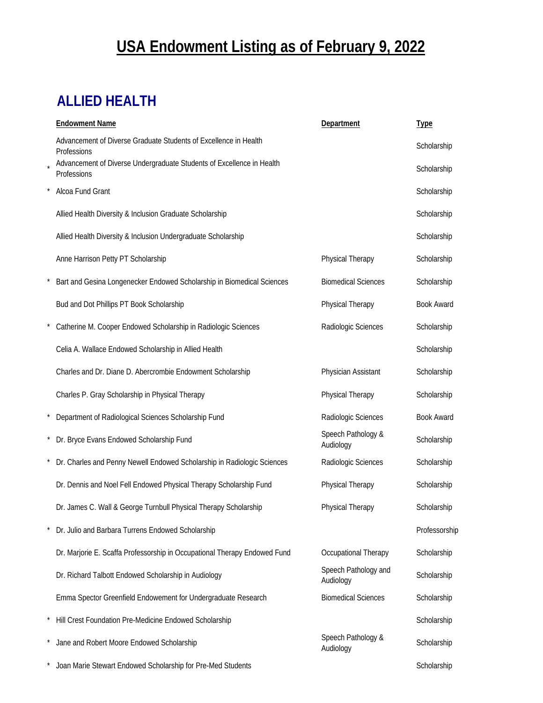# **USA Endowment Listing as of February 9, 2022**

## **ALLIED HEALTH**

| <b>Endowment Name</b>                                                                | Department                        | <b>Type</b>       |
|--------------------------------------------------------------------------------------|-----------------------------------|-------------------|
| Advancement of Diverse Graduate Students of Excellence in Health<br>Professions      |                                   | Scholarship       |
| Advancement of Diverse Undergraduate Students of Excellence in Health<br>Professions |                                   | Scholarship       |
| Alcoa Fund Grant                                                                     |                                   | Scholarship       |
| Allied Health Diversity & Inclusion Graduate Scholarship                             |                                   | Scholarship       |
| Allied Health Diversity & Inclusion Undergraduate Scholarship                        |                                   | Scholarship       |
| Anne Harrison Petty PT Scholarship                                                   | Physical Therapy                  | Scholarship       |
| Bart and Gesina Longenecker Endowed Scholarship in Biomedical Sciences               | <b>Biomedical Sciences</b>        | Scholarship       |
| Bud and Dot Phillips PT Book Scholarship                                             | Physical Therapy                  | <b>Book Award</b> |
| Catherine M. Cooper Endowed Scholarship in Radiologic Sciences                       | Radiologic Sciences               | Scholarship       |
| Celia A. Wallace Endowed Scholarship in Allied Health                                |                                   | Scholarship       |
| Charles and Dr. Diane D. Abercrombie Endowment Scholarship                           | Physician Assistant               | Scholarship       |
| Charles P. Gray Scholarship in Physical Therapy                                      | Physical Therapy                  | Scholarship       |
| Department of Radiological Sciences Scholarship Fund                                 | Radiologic Sciences               | <b>Book Award</b> |
| Dr. Bryce Evans Endowed Scholarship Fund                                             | Speech Pathology &<br>Audiology   | Scholarship       |
| Dr. Charles and Penny Newell Endowed Scholarship in Radiologic Sciences              | Radiologic Sciences               | Scholarship       |
| Dr. Dennis and Noel Fell Endowed Physical Therapy Scholarship Fund                   | Physical Therapy                  | Scholarship       |
| Dr. James C. Wall & George Turnbull Physical Therapy Scholarship                     | Physical Therapy                  | Scholarship       |
| Dr. Julio and Barbara Turrens Endowed Scholarship                                    |                                   | Professorship     |
| Dr. Marjorie E. Scaffa Professorship in Occupational Therapy Endowed Fund            | Occupational Therapy              | Scholarship       |
| Dr. Richard Talbott Endowed Scholarship in Audiology                                 | Speech Pathology and<br>Audiology | Scholarship       |
| Emma Spector Greenfield Endowement for Undergraduate Research                        | <b>Biomedical Sciences</b>        | Scholarship       |
| Hill Crest Foundation Pre-Medicine Endowed Scholarship                               |                                   | Scholarship       |
| Jane and Robert Moore Endowed Scholarship                                            | Speech Pathology &<br>Audiology   | Scholarship       |
| Joan Marie Stewart Endowed Scholarship for Pre-Med Students                          |                                   | Scholarship       |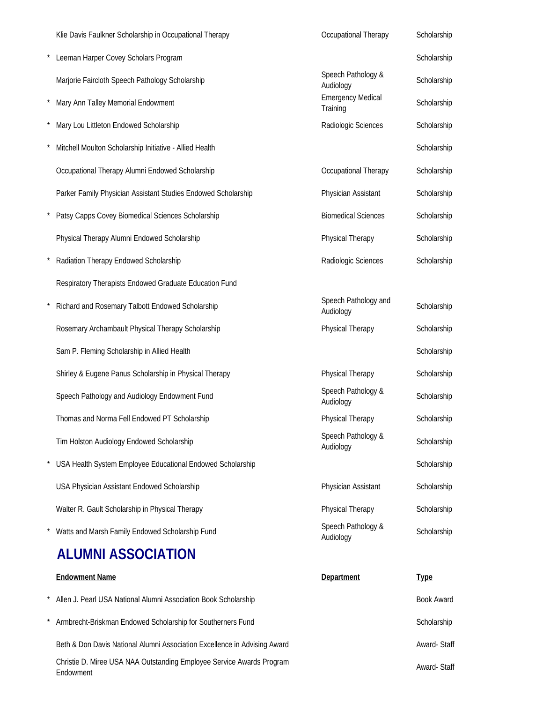| Klie Davis Faulkner Scholarship in Occupational Therapy                            | Occupational Therapy                 | Scholarship       |
|------------------------------------------------------------------------------------|--------------------------------------|-------------------|
| Leeman Harper Covey Scholars Program                                               |                                      | Scholarship       |
| Marjorie Faircloth Speech Pathology Scholarship                                    | Speech Pathology &<br>Audiology      | Scholarship       |
| Mary Ann Talley Memorial Endowment                                                 | <b>Emergency Medical</b><br>Training | Scholarship       |
| Mary Lou Littleton Endowed Scholarship                                             | Radiologic Sciences                  | Scholarship       |
| Mitchell Moulton Scholarship Initiative - Allied Health                            |                                      | Scholarship       |
| Occupational Therapy Alumni Endowed Scholarship                                    | Occupational Therapy                 | Scholarship       |
| Parker Family Physician Assistant Studies Endowed Scholarship                      | Physician Assistant                  | Scholarship       |
| Patsy Capps Covey Biomedical Sciences Scholarship                                  | <b>Biomedical Sciences</b>           | Scholarship       |
| Physical Therapy Alumni Endowed Scholarship                                        | Physical Therapy                     | Scholarship       |
| Radiation Therapy Endowed Scholarship                                              | Radiologic Sciences                  | Scholarship       |
| Respiratory Therapists Endowed Graduate Education Fund                             |                                      |                   |
| Richard and Rosemary Talbott Endowed Scholarship                                   | Speech Pathology and<br>Audiology    | Scholarship       |
| Rosemary Archambault Physical Therapy Scholarship                                  | Physical Therapy                     | Scholarship       |
| Sam P. Fleming Scholarship in Allied Health                                        |                                      | Scholarship       |
| Shirley & Eugene Panus Scholarship in Physical Therapy                             | Physical Therapy                     | Scholarship       |
| Speech Pathology and Audiology Endowment Fund                                      | Speech Pathology &<br>Audiology      | Scholarship       |
| Thomas and Norma Fell Endowed PT Scholarship                                       | Physical Therapy                     | Scholarship       |
| Tim Holston Audiology Endowed Scholarship                                          | Speech Pathology &<br>Audiology      | Scholarship       |
| USA Health System Employee Educational Endowed Scholarship                         |                                      | Scholarship       |
| USA Physician Assistant Endowed Scholarship                                        | Physician Assistant                  | Scholarship       |
| Walter R. Gault Scholarship in Physical Therapy                                    | Physical Therapy                     | Scholarship       |
| Watts and Marsh Family Endowed Scholarship Fund                                    | Speech Pathology &<br>Audiology      | Scholarship       |
| <b>ALUMNI ASSOCIATION</b>                                                          |                                      |                   |
| <b>Endowment Name</b>                                                              | Department                           | <b>Type</b>       |
| Allen J. Pearl USA National Alumni Association Book Scholarship                    |                                      | <b>Book Award</b> |
| Armbrecht-Briskman Endowed Scholarship for Southerners Fund                        |                                      | Scholarship       |
| Beth & Don Davis National Alumni Association Excellence in Advising Award          |                                      | Award-Staff       |
| Christie D. Miree USA NAA Outstanding Employee Service Awards Program<br>Endowment |                                      | Award-Staff       |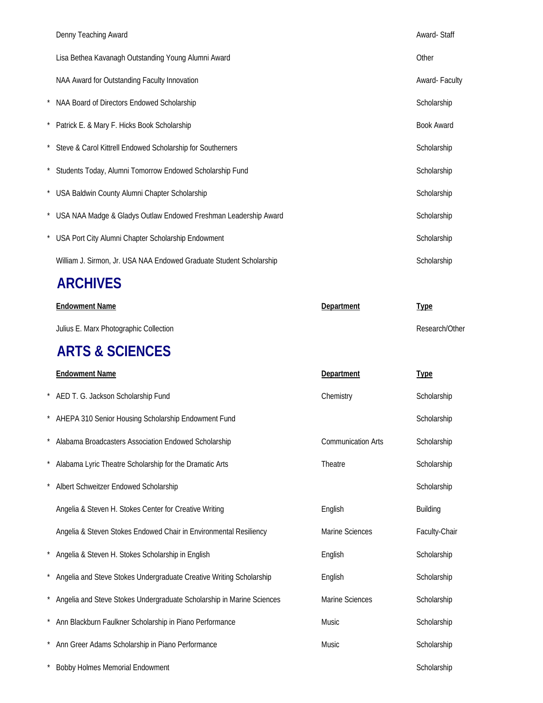|          | Denny Teaching Award                                                | Award-Staff       |
|----------|---------------------------------------------------------------------|-------------------|
|          | Lisa Bethea Kavanagh Outstanding Young Alumni Award                 | Other             |
|          | NAA Award for Outstanding Faculty Innovation                        | Award-Faculty     |
|          | NAA Board of Directors Endowed Scholarship                          | Scholarship       |
| $^\star$ | Patrick E. & Mary F. Hicks Book Scholarship                         | <b>Book Award</b> |
|          | * Steve & Carol Kittrell Endowed Scholarship for Southerners        | Scholarship       |
|          | * Students Today, Alumni Tomorrow Endowed Scholarship Fund          | Scholarship       |
|          | * USA Baldwin County Alumni Chapter Scholarship                     | Scholarship       |
|          | USA NAA Madge & Gladys Outlaw Endowed Freshman Leadership Award     | Scholarship       |
|          | USA Port City Alumni Chapter Scholarship Endowment                  | Scholarship       |
|          | William J. Sirmon, Jr. USA NAA Endowed Graduate Student Scholarship | Scholarship       |

### **ARCHIVES**

| <b>Endowment Name</b>                  | Department | <u>Type</u>    |
|----------------------------------------|------------|----------------|
| Julius E. Marx Photographic Collection |            | Research/Other |

### **ARTS & SCIENCES**

|         | <b>Endowment Name</b>                                                 | Department                | <b>Type</b>   |
|---------|-----------------------------------------------------------------------|---------------------------|---------------|
|         | * AED T. G. Jackson Scholarship Fund                                  | Chemistry                 | Scholarship   |
|         | AHEPA 310 Senior Housing Scholarship Endowment Fund                   |                           | Scholarship   |
|         | Alabama Broadcasters Association Endowed Scholarship                  | <b>Communication Arts</b> | Scholarship   |
|         | Alabama Lyric Theatre Scholarship for the Dramatic Arts               | Theatre                   | Scholarship   |
|         | Albert Schweitzer Endowed Scholarship                                 |                           | Scholarship   |
|         | Angelia & Steven H. Stokes Center for Creative Writing                | English                   | Building      |
|         | Angelia & Steven Stokes Endowed Chair in Environmental Resiliency     | Marine Sciences           | Faculty-Chair |
|         | Angelia & Steven H. Stokes Scholarship in English                     | English                   | Scholarship   |
|         | Angelia and Steve Stokes Undergraduate Creative Writing Scholarship   | English                   | Scholarship   |
|         | Angelia and Steve Stokes Undergraduate Scholarship in Marine Sciences | Marine Sciences           | Scholarship   |
| $\star$ | Ann Blackburn Faulkner Scholarship in Piano Performance               | Music                     | Scholarship   |
|         | Ann Greer Adams Scholarship in Piano Performance                      | <b>Music</b>              | Scholarship   |
|         | <b>Bobby Holmes Memorial Endowment</b>                                |                           | Scholarship   |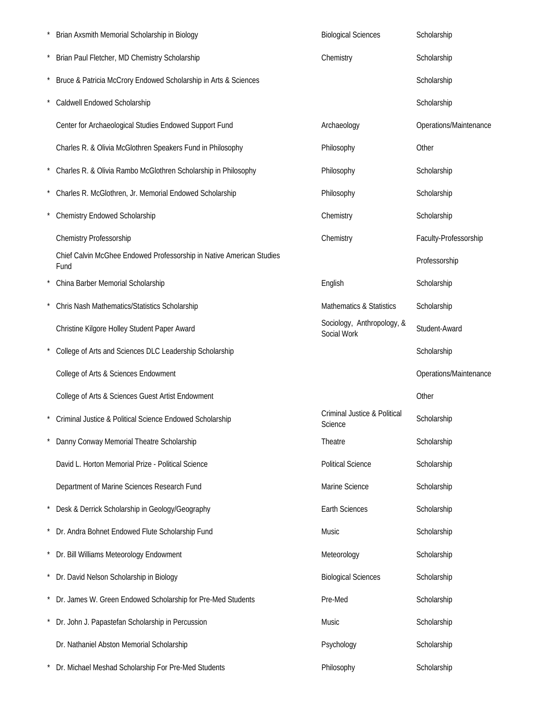| Brian Axsmith Memorial Scholarship in Biology                                | <b>Biological Sciences</b>                | Scholarship            |
|------------------------------------------------------------------------------|-------------------------------------------|------------------------|
| Brian Paul Fletcher, MD Chemistry Scholarship                                | Chemistry                                 | Scholarship            |
| Bruce & Patricia McCrory Endowed Scholarship in Arts & Sciences              |                                           | Scholarship            |
| Caldwell Endowed Scholarship                                                 |                                           | Scholarship            |
| Center for Archaeological Studies Endowed Support Fund                       | Archaeology                               | Operations/Maintenance |
| Charles R. & Olivia McGlothren Speakers Fund in Philosophy                   | Philosophy                                | Other                  |
| Charles R. & Olivia Rambo McGlothren Scholarship in Philosophy               | Philosophy                                | Scholarship            |
| Charles R. McGlothren, Jr. Memorial Endowed Scholarship                      | Philosophy                                | Scholarship            |
| Chemistry Endowed Scholarship                                                | Chemistry                                 | Scholarship            |
| Chemistry Professorship                                                      | Chemistry                                 | Faculty-Professorship  |
| Chief Calvin McGhee Endowed Professorship in Native American Studies<br>Fund |                                           | Professorship          |
| China Barber Memorial Scholarship                                            | English                                   | Scholarship            |
| Chris Nash Mathematics/Statistics Scholarship                                | Mathematics & Statistics                  | Scholarship            |
| Christine Kilgore Holley Student Paper Award                                 | Sociology, Anthropology, &<br>Social Work | Student-Award          |
| College of Arts and Sciences DLC Leadership Scholarship                      |                                           | Scholarship            |
| College of Arts & Sciences Endowment                                         |                                           | Operations/Maintenance |
| College of Arts & Sciences Guest Artist Endowment                            |                                           | Other                  |
| Criminal Justice & Political Science Endowed Scholarship                     | Criminal Justice & Political<br>Science   | Scholarship            |
| Danny Conway Memorial Theatre Scholarship                                    | Theatre                                   | Scholarship            |
| David L. Horton Memorial Prize - Political Science                           | <b>Political Science</b>                  | Scholarship            |
| Department of Marine Sciences Research Fund                                  | Marine Science                            | Scholarship            |
| Desk & Derrick Scholarship in Geology/Geography                              | <b>Earth Sciences</b>                     | Scholarship            |
| Dr. Andra Bohnet Endowed Flute Scholarship Fund                              | Music                                     | Scholarship            |
| * Dr. Bill Williams Meteorology Endowment                                    | Meteorology                               | Scholarship            |
| Dr. David Nelson Scholarship in Biology                                      | <b>Biological Sciences</b>                | Scholarship            |
| Dr. James W. Green Endowed Scholarship for Pre-Med Students                  | Pre-Med                                   | Scholarship            |
| Dr. John J. Papastefan Scholarship in Percussion                             | Music                                     | Scholarship            |
| Dr. Nathaniel Abston Memorial Scholarship                                    | Psychology                                | Scholarship            |
| Dr. Michael Meshad Scholarship For Pre-Med Students                          | Philosophy                                | Scholarship            |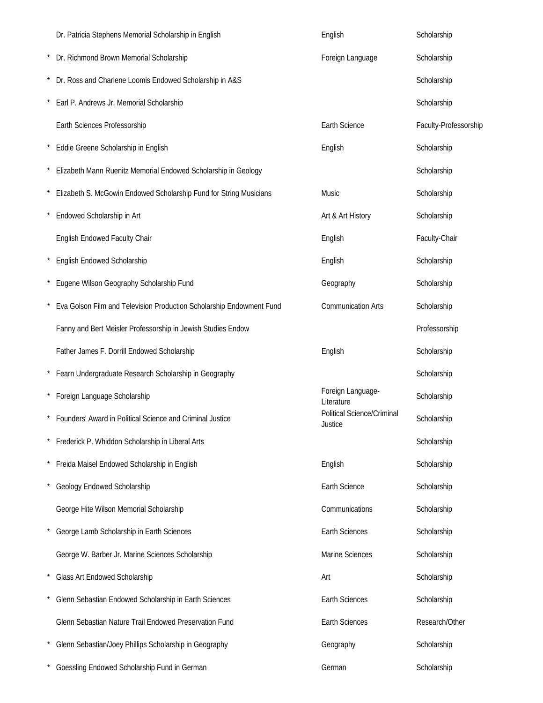| Dr. Patricia Stephens Memorial Scholarship in English                | English                               | Scholarship           |
|----------------------------------------------------------------------|---------------------------------------|-----------------------|
| Dr. Richmond Brown Memorial Scholarship                              | Foreign Language                      | Scholarship           |
| Dr. Ross and Charlene Loomis Endowed Scholarship in A&S              |                                       | Scholarship           |
| Earl P. Andrews Jr. Memorial Scholarship                             |                                       | Scholarship           |
| Earth Sciences Professorship                                         | Earth Science                         | Faculty-Professorship |
| Eddie Greene Scholarship in English                                  | English                               | Scholarship           |
| Elizabeth Mann Ruenitz Memorial Endowed Scholarship in Geology       |                                       | Scholarship           |
| Elizabeth S. McGowin Endowed Scholarship Fund for String Musicians   | Music                                 | Scholarship           |
| Endowed Scholarship in Art                                           | Art & Art History                     | Scholarship           |
| English Endowed Faculty Chair                                        | English                               | Faculty-Chair         |
| English Endowed Scholarship                                          | English                               | Scholarship           |
| Eugene Wilson Geography Scholarship Fund                             | Geography                             | Scholarship           |
| Eva Golson Film and Television Production Scholarship Endowment Fund | <b>Communication Arts</b>             | Scholarship           |
| Fanny and Bert Meisler Professorship in Jewish Studies Endow         |                                       | Professorship         |
| Father James F. Dorrill Endowed Scholarship                          | English                               | Scholarship           |
| * Fearn Undergraduate Research Scholarship in Geography              |                                       | Scholarship           |
| Foreign Language Scholarship                                         | Foreign Language-<br>Literature       | Scholarship           |
| Founders' Award in Political Science and Criminal Justice            | Political Science/Criminal<br>Justice | Scholarship           |
| Frederick P. Whiddon Scholarship in Liberal Arts                     |                                       | Scholarship           |
| Freida Maisel Endowed Scholarship in English                         | English                               | Scholarship           |
| Geology Endowed Scholarship                                          | Earth Science                         | Scholarship           |
| George Hite Wilson Memorial Scholarship                              | Communications                        | Scholarship           |
| George Lamb Scholarship in Earth Sciences                            | <b>Earth Sciences</b>                 | Scholarship           |
| George W. Barber Jr. Marine Sciences Scholarship                     | Marine Sciences                       | Scholarship           |
| Glass Art Endowed Scholarship                                        | Art                                   | Scholarship           |
| Glenn Sebastian Endowed Scholarship in Earth Sciences                | Earth Sciences                        | Scholarship           |
| Glenn Sebastian Nature Trail Endowed Preservation Fund               | <b>Earth Sciences</b>                 | Research/Other        |
| Glenn Sebastian/Joey Phillips Scholarship in Geography               | Geography                             | Scholarship           |
| Goessling Endowed Scholarship Fund in German                         | German                                | Scholarship           |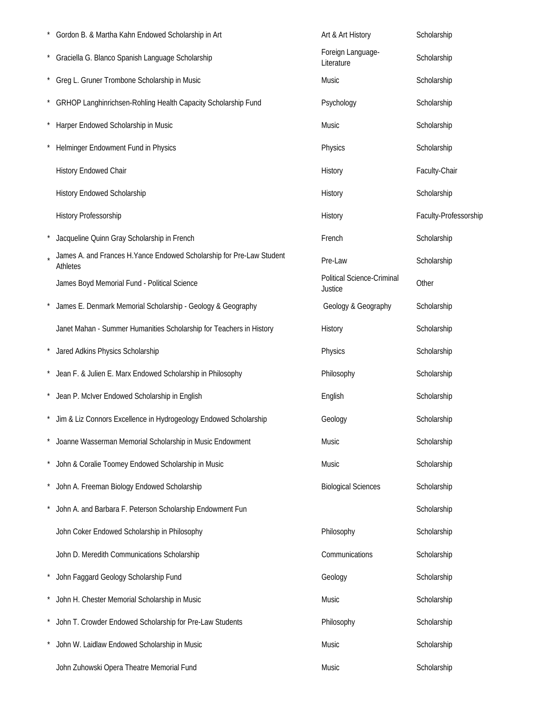| Gordon B. & Martha Kahn Endowed Scholarship in Art                                | Art & Art History                     | Scholarship           |
|-----------------------------------------------------------------------------------|---------------------------------------|-----------------------|
| * Graciella G. Blanco Spanish Language Scholarship                                | Foreign Language-<br>Literature       | Scholarship           |
| * Greg L. Gruner Trombone Scholarship in Music                                    | Music                                 | Scholarship           |
| GRHOP Langhinrichsen-Rohling Health Capacity Scholarship Fund                     | Psychology                            | Scholarship           |
| Harper Endowed Scholarship in Music                                               | Music                                 | Scholarship           |
| Helminger Endowment Fund in Physics                                               | Physics                               | Scholarship           |
| History Endowed Chair                                                             | History                               | Faculty-Chair         |
| <b>History Endowed Scholarship</b>                                                | History                               | Scholarship           |
| History Professorship                                                             | History                               | Faculty-Professorship |
| Jacqueline Quinn Gray Scholarship in French                                       | French                                | Scholarship           |
| James A. and Frances H. Yance Endowed Scholarship for Pre-Law Student<br>Athletes | Pre-Law                               | Scholarship           |
| James Boyd Memorial Fund - Political Science                                      | Political Science-Criminal<br>Justice | Other                 |
| James E. Denmark Memorial Scholarship - Geology & Geography                       | Geology & Geography                   | Scholarship           |
| Janet Mahan - Summer Humanities Scholarship for Teachers in History               | History                               | Scholarship           |
| Jared Adkins Physics Scholarship                                                  | Physics                               | Scholarship           |
| Jean F. & Julien E. Marx Endowed Scholarship in Philosophy                        | Philosophy                            | Scholarship           |
| Jean P. McIver Endowed Scholarship in English                                     | English                               | Scholarship           |
| Jim & Liz Connors Excellence in Hydrogeology Endowed Scholarship                  | Geology                               | Scholarship           |
| Joanne Wasserman Memorial Scholarship in Music Endowment                          | Music                                 | Scholarship           |
| John & Coralie Toomey Endowed Scholarship in Music                                | Music                                 | Scholarship           |
| John A. Freeman Biology Endowed Scholarship                                       | <b>Biological Sciences</b>            | Scholarship           |
| John A. and Barbara F. Peterson Scholarship Endowment Fun                         |                                       | Scholarship           |
| John Coker Endowed Scholarship in Philosophy                                      | Philosophy                            | Scholarship           |
| John D. Meredith Communications Scholarship                                       | Communications                        | Scholarship           |
| John Faggard Geology Scholarship Fund                                             | Geology                               | Scholarship           |
| John H. Chester Memorial Scholarship in Music                                     | Music                                 | Scholarship           |
| John T. Crowder Endowed Scholarship for Pre-Law Students                          | Philosophy                            | Scholarship           |
| John W. Laidlaw Endowed Scholarship in Music                                      | Music                                 | Scholarship           |
| John Zuhowski Opera Theatre Memorial Fund                                         | Music                                 | Scholarship           |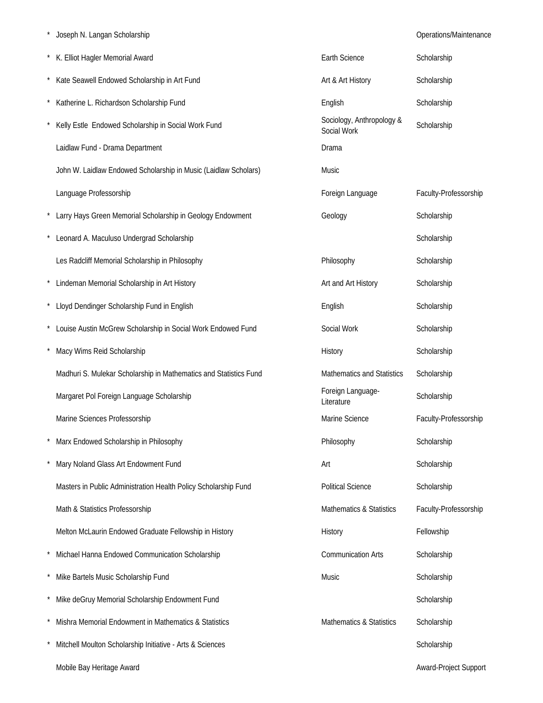|  | Joseph N. Langan Scholarship |
|--|------------------------------|
|  |                              |

Operations/Maintenance

| K. Elliot Hagler Memorial Award                                   | Earth Science                            | Scholarship           |
|-------------------------------------------------------------------|------------------------------------------|-----------------------|
| Kate Seawell Endowed Scholarship in Art Fund                      | Art & Art History                        | Scholarship           |
| Katherine L. Richardson Scholarship Fund                          | English                                  | Scholarship           |
| Kelly Estle Endowed Scholarship in Social Work Fund               | Sociology, Anthropology &<br>Social Work | Scholarship           |
| Laidlaw Fund - Drama Department                                   | Drama                                    |                       |
| John W. Laidlaw Endowed Scholarship in Music (Laidlaw Scholars)   | Music                                    |                       |
| Language Professorship                                            | Foreign Language                         | Faculty-Professorship |
| * Larry Hays Green Memorial Scholarship in Geology Endowment      | Geology                                  | Scholarship           |
| Leonard A. Maculuso Undergrad Scholarship                         |                                          | Scholarship           |
| Les Radcliff Memorial Scholarship in Philosophy                   | Philosophy                               | Scholarship           |
| Lindeman Memorial Scholarship in Art History                      | Art and Art History                      | Scholarship           |
| * Lloyd Dendinger Scholarship Fund in English                     | English                                  | Scholarship           |
| * Louise Austin McGrew Scholarship in Social Work Endowed Fund    | Social Work                              | Scholarship           |
| Macy Wims Reid Scholarship                                        | History                                  | Scholarship           |
| Madhuri S. Mulekar Scholarship in Mathematics and Statistics Fund | Mathematics and Statistics               | Scholarship           |
| Margaret Pol Foreign Language Scholarship                         | Foreign Language-<br>Literature          | Scholarship           |
| Marine Sciences Professorship                                     | Marine Science                           | Faculty-Professorship |
| Marx Endowed Scholarship in Philosophy                            | Philosophy                               | Scholarship           |
| Mary Noland Glass Art Endowment Fund                              | Art                                      | Scholarship           |
| Masters in Public Administration Health Policy Scholarship Fund   | <b>Political Science</b>                 | Scholarship           |
| Math & Statistics Professorship                                   | Mathematics & Statistics                 | Faculty-Professorship |
| Melton McLaurin Endowed Graduate Fellowship in History            | History                                  | Fellowship            |
| Michael Hanna Endowed Communication Scholarship                   | <b>Communication Arts</b>                | Scholarship           |
| Mike Bartels Music Scholarship Fund                               | Music                                    | Scholarship           |
| Mike deGruy Memorial Scholarship Endowment Fund                   |                                          | Scholarship           |
| Mishra Memorial Endowment in Mathematics & Statistics             | Mathematics & Statistics                 | Scholarship           |
| Mitchell Moulton Scholarship Initiative - Arts & Sciences         |                                          | Scholarship           |
| Mobile Bay Heritage Award                                         |                                          | Award-Project Support |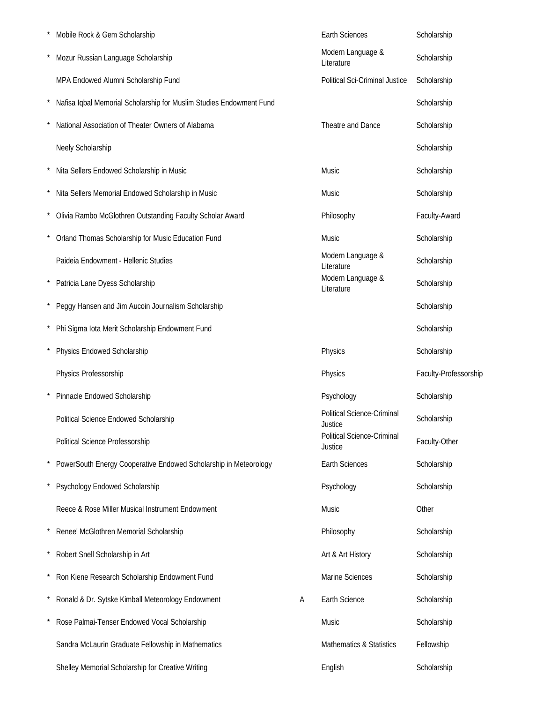| Mobile Rock & Gem Scholarship                                       |   | <b>Earth Sciences</b>                        | Scholarship           |
|---------------------------------------------------------------------|---|----------------------------------------------|-----------------------|
| Mozur Russian Language Scholarship                                  |   | Modern Language &<br>Literature              | Scholarship           |
| MPA Endowed Alumni Scholarship Fund                                 |   | <b>Political Sci-Criminal Justice</b>        | Scholarship           |
| Nafisa Iqbal Memorial Scholarship for Muslim Studies Endowment Fund |   |                                              | Scholarship           |
| National Association of Theater Owners of Alabama                   |   | Theatre and Dance                            | Scholarship           |
| Neely Scholarship                                                   |   |                                              | Scholarship           |
| Nita Sellers Endowed Scholarship in Music                           |   | Music                                        | Scholarship           |
| Nita Sellers Memorial Endowed Scholarship in Music                  |   | Music                                        | Scholarship           |
| Olivia Rambo McGlothren Outstanding Faculty Scholar Award           |   | Philosophy                                   | Faculty-Award         |
| Orland Thomas Scholarship for Music Education Fund                  |   | Music                                        | Scholarship           |
| Paideia Endowment - Hellenic Studies                                |   | Modern Language &<br>Literature              | Scholarship           |
| Patricia Lane Dyess Scholarship                                     |   | Modern Language &<br>Literature              | Scholarship           |
| Peggy Hansen and Jim Aucoin Journalism Scholarship                  |   |                                              | Scholarship           |
| Phi Sigma Iota Merit Scholarship Endowment Fund                     |   |                                              | Scholarship           |
| Physics Endowed Scholarship                                         |   | Physics                                      | Scholarship           |
| Physics Professorship                                               |   | Physics                                      | Faculty-Professorship |
| Pinnacle Endowed Scholarship                                        |   | Psychology                                   | Scholarship           |
| Political Science Endowed Scholarship                               |   | <b>Political Science-Criminal</b><br>Justice | Scholarship           |
| Political Science Professorship                                     |   | Political Science-Criminal<br>Justice        | Faculty-Other         |
| PowerSouth Energy Cooperative Endowed Scholarship in Meteorology    |   | Earth Sciences                               | Scholarship           |
| Psychology Endowed Scholarship                                      |   | Psychology                                   | Scholarship           |
| Reece & Rose Miller Musical Instrument Endowment                    |   | Music                                        | Other                 |
| Renee' McGlothren Memorial Scholarship                              |   | Philosophy                                   | Scholarship           |
| Robert Snell Scholarship in Art                                     |   | Art & Art History                            | Scholarship           |
| Ron Kiene Research Scholarship Endowment Fund                       |   | <b>Marine Sciences</b>                       | Scholarship           |
| Ronald & Dr. Sytske Kimball Meteorology Endowment                   | Α | Earth Science                                | Scholarship           |
| Rose Palmai-Tenser Endowed Vocal Scholarship                        |   | Music                                        | Scholarship           |
| Sandra McLaurin Graduate Fellowship in Mathematics                  |   | <b>Mathematics &amp; Statistics</b>          | Fellowship            |
| Shelley Memorial Scholarship for Creative Writing                   |   | English                                      | Scholarship           |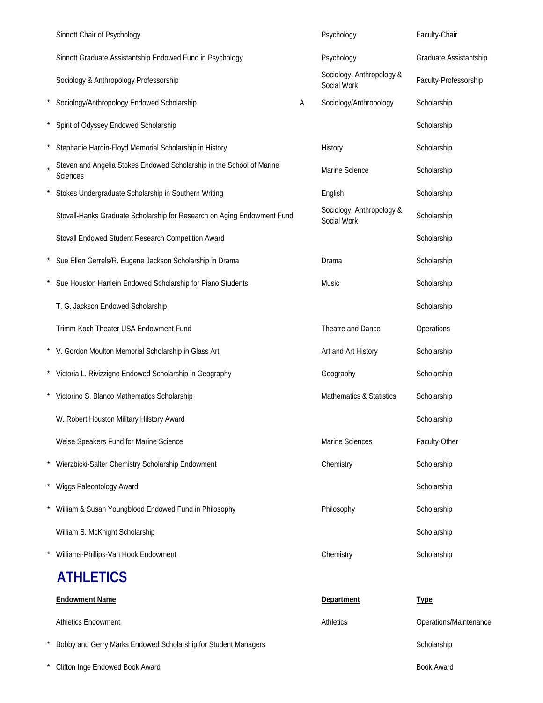| Sinnott Chair of Psychology                                                       |   | Psychology                               | Faculty-Chair          |
|-----------------------------------------------------------------------------------|---|------------------------------------------|------------------------|
| Sinnott Graduate Assistantship Endowed Fund in Psychology                         |   | Psychology                               | Graduate Assistantship |
| Sociology & Anthropology Professorship                                            |   | Sociology, Anthropology &<br>Social Work | Faculty-Professorship  |
| Sociology/Anthropology Endowed Scholarship                                        | Α | Sociology/Anthropology                   | Scholarship            |
| Spirit of Odyssey Endowed Scholarship                                             |   |                                          | Scholarship            |
| Stephanie Hardin-Floyd Memorial Scholarship in History                            |   | History                                  | Scholarship            |
| Steven and Angelia Stokes Endowed Scholarship in the School of Marine<br>Sciences |   | Marine Science                           | Scholarship            |
| Stokes Undergraduate Scholarship in Southern Writing                              |   | English                                  | Scholarship            |
| Stovall-Hanks Graduate Scholarship for Research on Aging Endowment Fund           |   | Sociology, Anthropology &<br>Social Work | Scholarship            |
| Stovall Endowed Student Research Competition Award                                |   |                                          | Scholarship            |
| Sue Ellen Gerrels/R. Eugene Jackson Scholarship in Drama                          |   | Drama                                    | Scholarship            |
| Sue Houston Hanlein Endowed Scholarship for Piano Students                        |   | Music                                    | Scholarship            |
| T. G. Jackson Endowed Scholarship                                                 |   |                                          | Scholarship            |
| Trimm-Koch Theater USA Endowment Fund                                             |   | Theatre and Dance                        | Operations             |
| * V. Gordon Moulton Memorial Scholarship in Glass Art                             |   | Art and Art History                      | Scholarship            |
| * Victoria L. Rivizzigno Endowed Scholarship in Geography                         |   | Geography                                | Scholarship            |
| Victorino S. Blanco Mathematics Scholarship                                       |   | <b>Mathematics &amp; Statistics</b>      | Scholarship            |
| W. Robert Houston Military Hilstory Award                                         |   |                                          | Scholarship            |
| Weise Speakers Fund for Marine Science                                            |   | Marine Sciences                          | Faculty-Other          |
| Wierzbicki-Salter Chemistry Scholarship Endowment                                 |   | Chemistry                                | Scholarship            |
| Wiggs Paleontology Award                                                          |   |                                          | Scholarship            |
| William & Susan Youngblood Endowed Fund in Philosophy                             |   | Philosophy                               | Scholarship            |
| William S. McKnight Scholarship                                                   |   |                                          | Scholarship            |
| Williams-Phillips-Van Hook Endowment                                              |   | Chemistry                                | Scholarship            |
| <b>ATHLETICS</b>                                                                  |   |                                          |                        |
| <b>Endowment Name</b>                                                             |   | Department                               | <b>Type</b>            |
| <b>Athletics Endowment</b>                                                        |   | <b>Athletics</b>                         | Operations/Maintenance |
| Bobby and Gerry Marks Endowed Scholarship for Student Managers                    |   |                                          | Scholarship            |
| Clifton Inge Endowed Book Award                                                   |   |                                          | <b>Book Award</b>      |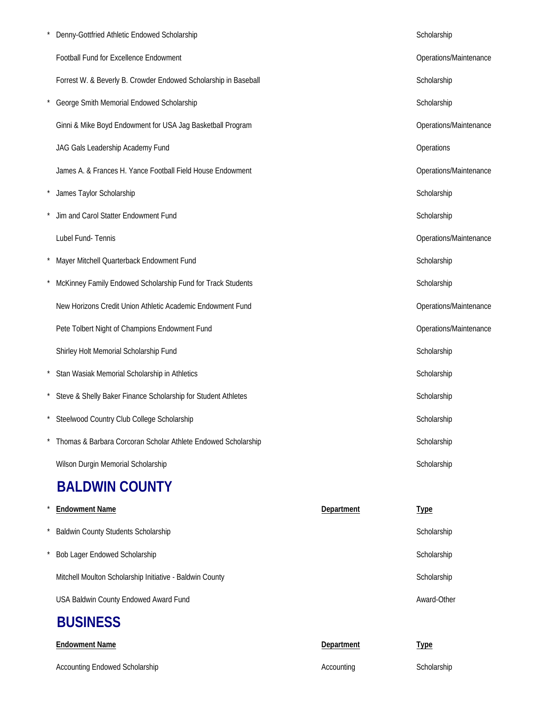| Denny-Gottfried Athletic Endowed Scholarship                    |            | Scholarship            |
|-----------------------------------------------------------------|------------|------------------------|
| Football Fund for Excellence Endowment                          |            | Operations/Maintenance |
| Forrest W. & Beverly B. Crowder Endowed Scholarship in Baseball |            | Scholarship            |
| George Smith Memorial Endowed Scholarship                       |            | Scholarship            |
| Ginni & Mike Boyd Endowment for USA Jag Basketball Program      |            | Operations/Maintenance |
| JAG Gals Leadership Academy Fund                                |            | Operations             |
| James A. & Frances H. Yance Football Field House Endowment      |            | Operations/Maintenance |
| James Taylor Scholarship                                        |            | Scholarship            |
| Jim and Carol Statter Endowment Fund                            |            | Scholarship            |
| Lubel Fund-Tennis                                               |            | Operations/Maintenance |
| Mayer Mitchell Quarterback Endowment Fund                       |            | Scholarship            |
| McKinney Family Endowed Scholarship Fund for Track Students     |            | Scholarship            |
| New Horizons Credit Union Athletic Academic Endowment Fund      |            | Operations/Maintenance |
| Pete Tolbert Night of Champions Endowment Fund                  |            | Operations/Maintenance |
| Shirley Holt Memorial Scholarship Fund                          |            | Scholarship            |
| Stan Wasiak Memorial Scholarship in Athletics                   |            | Scholarship            |
| Steve & Shelly Baker Finance Scholarship for Student Athletes   |            | Scholarship            |
| Steelwood Country Club College Scholarship                      |            | Scholarship            |
| Thomas & Barbara Corcoran Scholar Athlete Endowed Scholarship   |            | Scholarship            |
| Wilson Durgin Memorial Scholarship                              |            | Scholarship            |
| <b>BALDWIN COUNTY</b>                                           |            |                        |
| <b>Endowment Name</b>                                           | Department | <b>Type</b>            |
| <b>Baldwin County Students Scholarship</b>                      |            | Scholarship            |
|                                                                 |            |                        |

\* Bob Lager Endowed Scholarship Scholarship Scholarship Scholarship Scholarship

Mitchell Moulton Scholarship Initiative - Baldwin County Scholarship Scholarship Scholarship

USA Baldwin County Endowed Award Fund Award-Other Award-Other

### **BUSINESS**

| <b>Endowment Name</b>                 | Department | <u>Type</u> |
|---------------------------------------|------------|-------------|
| <b>Accounting Endowed Scholarship</b> | Accounting | Scholarship |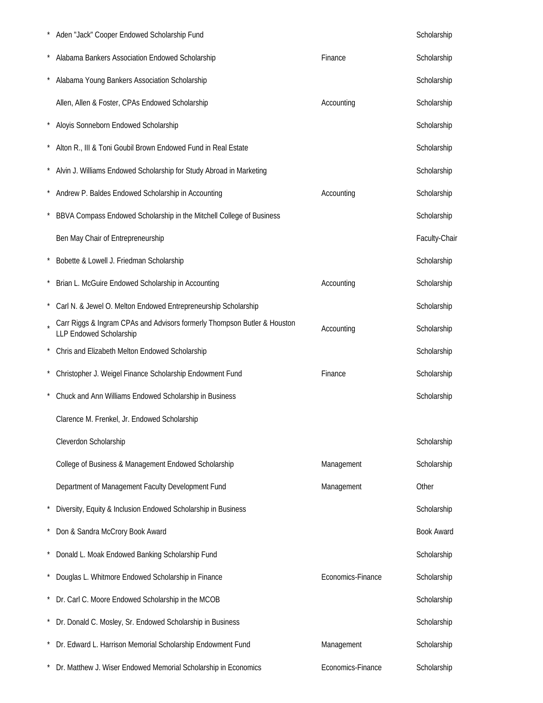|         | Aden "Jack" Cooper Endowed Scholarship Fund                                                         |                   | Scholarship       |
|---------|-----------------------------------------------------------------------------------------------------|-------------------|-------------------|
|         | Alabama Bankers Association Endowed Scholarship                                                     | Finance           | Scholarship       |
|         | Alabama Young Bankers Association Scholarship                                                       |                   | Scholarship       |
|         | Allen, Allen & Foster, CPAs Endowed Scholarship                                                     | Accounting        | Scholarship       |
|         | Aloyis Sonneborn Endowed Scholarship                                                                |                   | Scholarship       |
|         | Alton R., III & Toni Goubil Brown Endowed Fund in Real Estate                                       |                   | Scholarship       |
|         | Alvin J. Williams Endowed Scholarship for Study Abroad in Marketing                                 |                   | Scholarship       |
|         | Andrew P. Baldes Endowed Scholarship in Accounting                                                  | Accounting        | Scholarship       |
|         | BBVA Compass Endowed Scholarship in the Mitchell College of Business                                |                   | Scholarship       |
|         | Ben May Chair of Entrepreneurship                                                                   |                   | Faculty-Chair     |
|         | Bobette & Lowell J. Friedman Scholarship                                                            |                   | Scholarship       |
|         | Brian L. McGuire Endowed Scholarship in Accounting                                                  | Accounting        | Scholarship       |
|         | Carl N. & Jewel O. Melton Endowed Entrepreneurship Scholarship                                      |                   | Scholarship       |
|         | Carr Riggs & Ingram CPAs and Advisors formerly Thompson Butler & Houston<br>LLP Endowed Scholarship | Accounting        | Scholarship       |
|         | Chris and Elizabeth Melton Endowed Scholarship                                                      |                   | Scholarship       |
|         | Christopher J. Weigel Finance Scholarship Endowment Fund                                            | Finance           | Scholarship       |
|         | Chuck and Ann Williams Endowed Scholarship in Business                                              |                   | Scholarship       |
|         | Clarence M. Frenkel, Jr. Endowed Scholarship                                                        |                   |                   |
|         | Cleverdon Scholarship                                                                               |                   | Scholarship       |
|         | College of Business & Management Endowed Scholarship                                                | Management        | Scholarship       |
|         | Department of Management Faculty Development Fund                                                   | Management        | Other             |
|         | Diversity, Equity & Inclusion Endowed Scholarship in Business                                       |                   | Scholarship       |
|         | Don & Sandra McCrory Book Award                                                                     |                   | <b>Book Award</b> |
|         | Donald L. Moak Endowed Banking Scholarship Fund                                                     |                   | Scholarship       |
| $\star$ | Douglas L. Whitmore Endowed Scholarship in Finance                                                  | Economics-Finance | Scholarship       |
|         | Dr. Carl C. Moore Endowed Scholarship in the MCOB                                                   |                   | Scholarship       |
|         | Dr. Donald C. Mosley, Sr. Endowed Scholarship in Business                                           |                   | Scholarship       |
|         | Dr. Edward L. Harrison Memorial Scholarship Endowment Fund                                          | Management        | Scholarship       |
|         | Dr. Matthew J. Wiser Endowed Memorial Scholarship in Economics                                      | Economics-Finance | Scholarship       |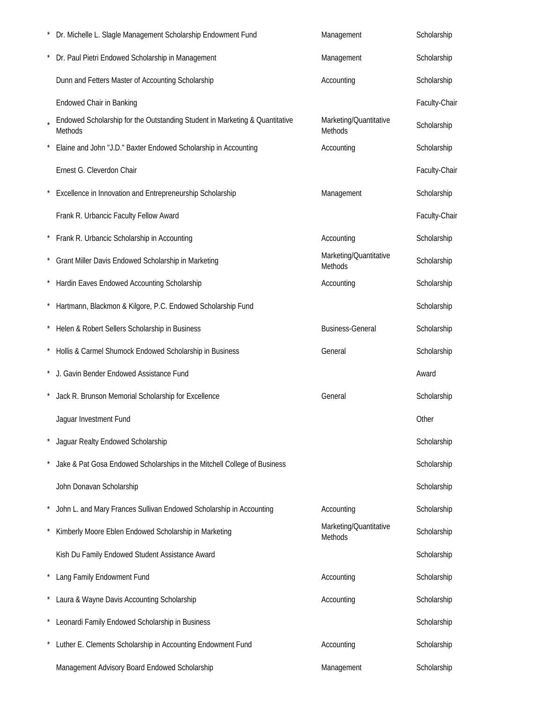| Dr. Michelle L. Slagle Management Scholarship Endowment Fund                                  | Management                        | Scholarship   |
|-----------------------------------------------------------------------------------------------|-----------------------------------|---------------|
| Dr. Paul Pietri Endowed Scholarship in Management                                             | Management                        | Scholarship   |
| Dunn and Fetters Master of Accounting Scholarship                                             | Accounting                        | Scholarship   |
| <b>Endowed Chair in Banking</b>                                                               |                                   | Faculty-Chair |
| Endowed Scholarship for the Outstanding Student in Marketing & Quantitative<br><b>Methods</b> | Marketing/Quantitative<br>Methods | Scholarship   |
| Elaine and John "J.D." Baxter Endowed Scholarship in Accounting                               | Accounting                        | Scholarship   |
| Ernest G. Cleverdon Chair                                                                     |                                   | Faculty-Chair |
| Excellence in Innovation and Entrepreneurship Scholarship                                     | Management                        | Scholarship   |
| Frank R. Urbancic Faculty Fellow Award                                                        |                                   | Faculty-Chair |
| * Frank R. Urbancic Scholarship in Accounting                                                 | Accounting                        | Scholarship   |
| * Grant Miller Davis Endowed Scholarship in Marketing                                         | Marketing/Quantitative<br>Methods | Scholarship   |
| Hardin Eaves Endowed Accounting Scholarship                                                   | Accounting                        | Scholarship   |
| Hartmann, Blackmon & Kilgore, P.C. Endowed Scholarship Fund                                   |                                   | Scholarship   |
| * Helen & Robert Sellers Scholarship in Business                                              | <b>Business-General</b>           | Scholarship   |
| * Hollis & Carmel Shumock Endowed Scholarship in Business                                     | General                           | Scholarship   |
| J. Gavin Bender Endowed Assistance Fund                                                       |                                   | Award         |
| Jack R. Brunson Memorial Scholarship for Excellence                                           | General                           | Scholarship   |
| Jaquar Investment Fund                                                                        |                                   | Other         |
| Jaguar Realty Endowed Scholarship                                                             |                                   | Scholarship   |
| Jake & Pat Gosa Endowed Scholarships in the Mitchell College of Business                      |                                   | Scholarship   |
| John Donavan Scholarship                                                                      |                                   | Scholarship   |
| John L. and Mary Frances Sullivan Endowed Scholarship in Accounting                           | Accounting                        | Scholarship   |
| Kimberly Moore Eblen Endowed Scholarship in Marketing                                         | Marketing/Quantitative<br>Methods | Scholarship   |
| Kish Du Family Endowed Student Assistance Award                                               |                                   | Scholarship   |
| Lang Family Endowment Fund                                                                    | Accounting                        | Scholarship   |
| Laura & Wayne Davis Accounting Scholarship                                                    | Accounting                        | Scholarship   |
| * Leonardi Family Endowed Scholarship in Business                                             |                                   | Scholarship   |
| Luther E. Clements Scholarship in Accounting Endowment Fund                                   | Accounting                        | Scholarship   |
| Management Advisory Board Endowed Scholarship                                                 | Management                        | Scholarship   |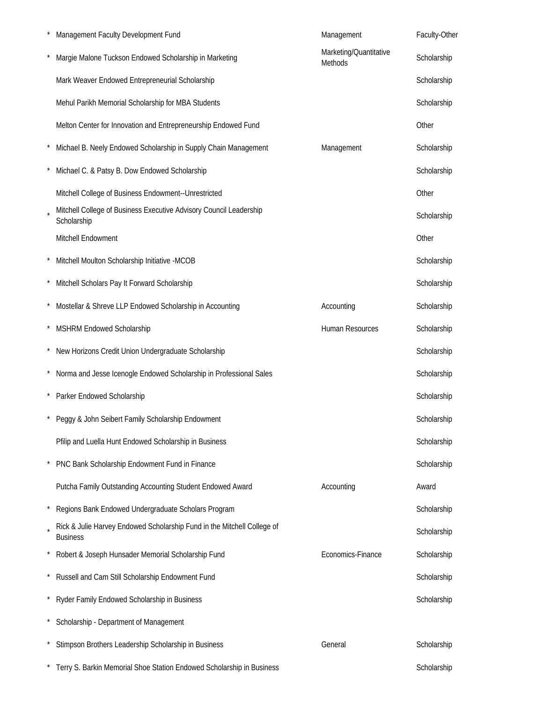| Management Faculty Development Fund                                                        | Management                        | Faculty-Other |
|--------------------------------------------------------------------------------------------|-----------------------------------|---------------|
| Margie Malone Tuckson Endowed Scholarship in Marketing                                     | Marketing/Quantitative<br>Methods | Scholarship   |
| Mark Weaver Endowed Entrepreneurial Scholarship                                            |                                   | Scholarship   |
| Mehul Parikh Memorial Scholarship for MBA Students                                         |                                   | Scholarship   |
| Melton Center for Innovation and Entrepreneurship Endowed Fund                             |                                   | Other         |
| Michael B. Neely Endowed Scholarship in Supply Chain Management                            | Management                        | Scholarship   |
| Michael C. & Patsy B. Dow Endowed Scholarship                                              |                                   | Scholarship   |
| Mitchell College of Business Endowment--Unrestricted                                       |                                   | Other         |
| Mitchell College of Business Executive Advisory Council Leadership<br>Scholarship          |                                   | Scholarship   |
| Mitchell Endowment                                                                         |                                   | Other         |
| Mitchell Moulton Scholarship Initiative -MCOB                                              |                                   | Scholarship   |
| Mitchell Scholars Pay It Forward Scholarship                                               |                                   | Scholarship   |
| Mostellar & Shreve LLP Endowed Scholarship in Accounting                                   | Accounting                        | Scholarship   |
| MSHRM Endowed Scholarship                                                                  | Human Resources                   | Scholarship   |
| New Horizons Credit Union Undergraduate Scholarship                                        |                                   | Scholarship   |
| Norma and Jesse Icenogle Endowed Scholarship in Professional Sales                         |                                   | Scholarship   |
| Parker Endowed Scholarship                                                                 |                                   | Scholarship   |
| Peggy & John Seibert Family Scholarship Endowment                                          |                                   | Scholarship   |
| Pfilip and Luella Hunt Endowed Scholarship in Business                                     |                                   | Scholarship   |
| PNC Bank Scholarship Endowment Fund in Finance                                             |                                   | Scholarship   |
| Putcha Family Outstanding Accounting Student Endowed Award                                 | Accounting                        | Award         |
| Regions Bank Endowed Undergraduate Scholars Program                                        |                                   | Scholarship   |
| Rick & Julie Harvey Endowed Scholarship Fund in the Mitchell College of<br><b>Business</b> |                                   | Scholarship   |
| Robert & Joseph Hunsader Memorial Scholarship Fund                                         | Economics-Finance                 | Scholarship   |
| Russell and Cam Still Scholarship Endowment Fund                                           |                                   | Scholarship   |
| Ryder Family Endowed Scholarship in Business                                               |                                   | Scholarship   |
| Scholarship - Department of Management                                                     |                                   |               |
| Stimpson Brothers Leadership Scholarship in Business                                       | General                           | Scholarship   |
| Terry S. Barkin Memorial Shoe Station Endowed Scholarship in Business                      |                                   | Scholarship   |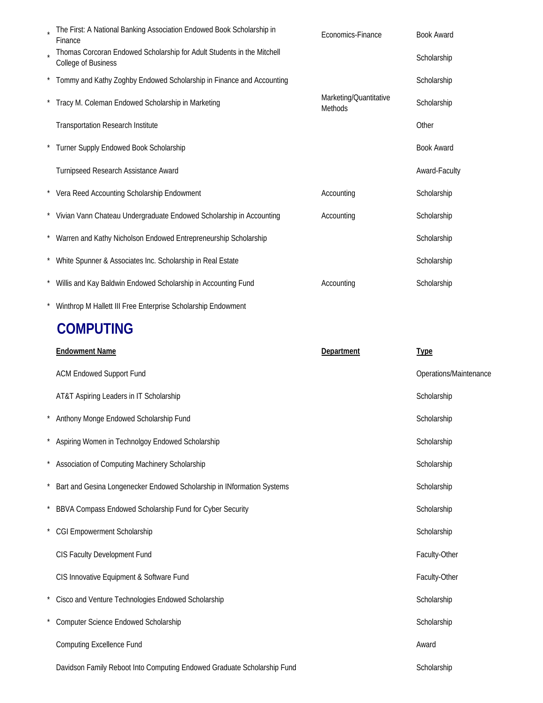| The First: A National Banking Association Endowed Book Scholarship in<br>Finance                     | Economics-Finance                 | <b>Book Award</b>      |
|------------------------------------------------------------------------------------------------------|-----------------------------------|------------------------|
| Thomas Corcoran Endowed Scholarship for Adult Students in the Mitchell<br><b>College of Business</b> |                                   | Scholarship            |
| Tommy and Kathy Zoghby Endowed Scholarship in Finance and Accounting                                 |                                   | Scholarship            |
| * Tracy M. Coleman Endowed Scholarship in Marketing                                                  | Marketing/Quantitative<br>Methods | Scholarship            |
| <b>Transportation Research Institute</b>                                                             |                                   | Other                  |
| Turner Supply Endowed Book Scholarship                                                               |                                   | <b>Book Award</b>      |
| Turnipseed Research Assistance Award                                                                 |                                   | Award-Faculty          |
| * Vera Reed Accounting Scholarship Endowment                                                         | Accounting                        | Scholarship            |
| * Vivian Vann Chateau Undergraduate Endowed Scholarship in Accounting                                | Accounting                        | Scholarship            |
| * Warren and Kathy Nicholson Endowed Entrepreneurship Scholarship                                    |                                   | Scholarship            |
| White Spunner & Associates Inc. Scholarship in Real Estate                                           |                                   | Scholarship            |
| Willis and Kay Baldwin Endowed Scholarship in Accounting Fund                                        | Accounting                        | Scholarship            |
| Winthrop M Hallett III Free Enterprise Scholarship Endowment                                         |                                   |                        |
| <b>COMPUTING</b>                                                                                     |                                   |                        |
| <b>Endowment Name</b>                                                                                | Department                        | <b>Type</b>            |
| <b>ACM Endowed Support Fund</b>                                                                      |                                   | Operations/Maintenance |
| AT&T Aspiring Leaders in IT Scholarship                                                              |                                   | Scholarship            |
| Anthony Monge Endowed Scholarship Fund                                                               |                                   | Scholarship            |
| * Aspiring Women in Technolgoy Endowed Scholarship                                                   |                                   | Scholarship            |
| * Association of Computing Machinery Scholarship                                                     |                                   | Scholarship            |
| Bart and Gesina Longenecker Endowed Scholarship in INformation Systems                               |                                   | Scholarship            |
| BBVA Compass Endowed Scholarship Fund for Cyber Security                                             |                                   | Scholarship            |
| CGI Empowerment Scholarship                                                                          |                                   | Scholarship            |
| CIS Faculty Development Fund                                                                         |                                   | Faculty-Other          |
| CIS Innovative Equipment & Software Fund                                                             |                                   | Faculty-Other          |
| Cisco and Venture Technologies Endowed Scholarship                                                   |                                   | Scholarship            |
| Computer Science Endowed Scholarship                                                                 |                                   | Scholarship            |
| <b>Computing Excellence Fund</b>                                                                     |                                   | Award                  |
| Davidson Family Reboot Into Computing Endowed Graduate Scholarship Fund                              |                                   | Scholarship            |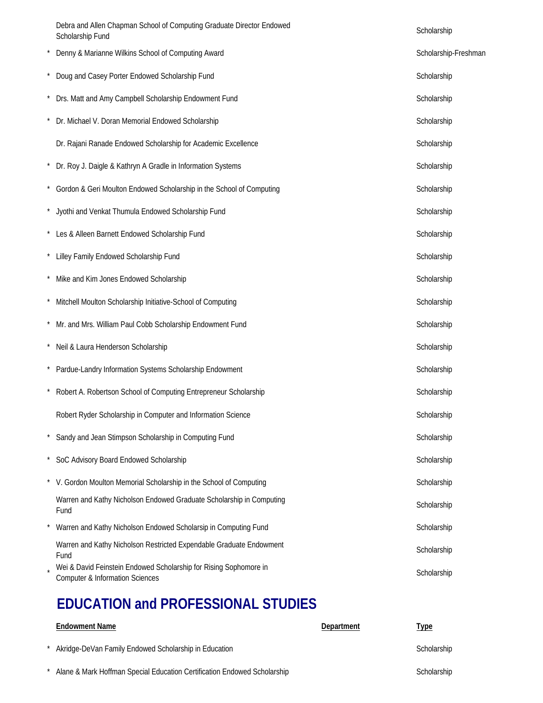|          | Debra and Allen Chapman School of Computing Graduate Director Endowed<br>Scholarship Fund                       | Scholarship          |
|----------|-----------------------------------------------------------------------------------------------------------------|----------------------|
|          | Denny & Marianne Wilkins School of Computing Award                                                              | Scholarship-Freshman |
|          | Doug and Casey Porter Endowed Scholarship Fund                                                                  | Scholarship          |
|          | Drs. Matt and Amy Campbell Scholarship Endowment Fund                                                           | Scholarship          |
|          | Dr. Michael V. Doran Memorial Endowed Scholarship                                                               | Scholarship          |
|          | Dr. Rajani Ranade Endowed Scholarship for Academic Excellence                                                   | Scholarship          |
| $\star$  | Dr. Roy J. Daigle & Kathryn A Gradle in Information Systems                                                     | Scholarship          |
|          | * Gordon & Geri Moulton Endowed Scholarship in the School of Computing                                          | Scholarship          |
| $^\star$ | Jyothi and Venkat Thumula Endowed Scholarship Fund                                                              | Scholarship          |
|          | Les & Alleen Barnett Endowed Scholarship Fund                                                                   | Scholarship          |
|          | Lilley Family Endowed Scholarship Fund                                                                          | Scholarship          |
|          | Mike and Kim Jones Endowed Scholarship                                                                          | Scholarship          |
|          | Mitchell Moulton Scholarship Initiative-School of Computing                                                     | Scholarship          |
|          | Mr. and Mrs. William Paul Cobb Scholarship Endowment Fund                                                       | Scholarship          |
|          | Neil & Laura Henderson Scholarship                                                                              | Scholarship          |
|          | Pardue-Landry Information Systems Scholarship Endowment                                                         | Scholarship          |
|          | Robert A. Robertson School of Computing Entrepreneur Scholarship                                                | Scholarship          |
|          | Robert Ryder Scholarship in Computer and Information Science                                                    | Scholarship          |
|          | Sandy and Jean Stimpson Scholarship in Computing Fund                                                           | Scholarship          |
|          | SoC Advisory Board Endowed Scholarship                                                                          | Scholarship          |
|          | V. Gordon Moulton Memorial Scholarship in the School of Computing                                               | Scholarship          |
|          | Warren and Kathy Nicholson Endowed Graduate Scholarship in Computing<br>Fund                                    | Scholarship          |
|          | Warren and Kathy Nicholson Endowed Scholarsip in Computing Fund                                                 | Scholarship          |
|          | Warren and Kathy Nicholson Restricted Expendable Graduate Endowment<br>Fund                                     | Scholarship          |
|          | Wei & David Feinstein Endowed Scholarship for Rising Sophomore in<br><b>Computer &amp; Information Sciences</b> | Scholarship          |
|          |                                                                                                                 |                      |

# **EDUCATION and PROFESSIONAL STUDIES**

| <b>Endowment Name</b>                                                    | Department | <u>Type</u> |
|--------------------------------------------------------------------------|------------|-------------|
| Akridge-DeVan Family Endowed Scholarship in Education                    |            | Scholarship |
| Alane & Mark Hoffman Special Education Certification Endowed Scholarship |            | Scholarship |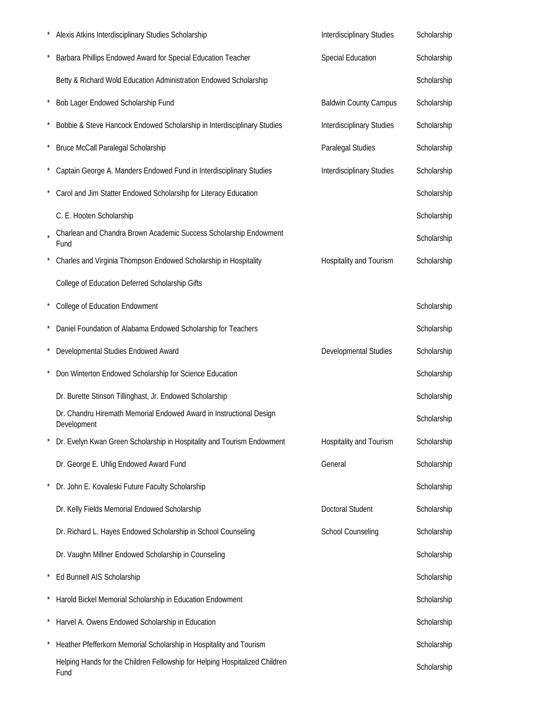|         | Alexis Atkins Interdisciplinary Studies Scholarship                                 | Interdisciplinary Studies    | Scholarship |
|---------|-------------------------------------------------------------------------------------|------------------------------|-------------|
|         | Barbara Phillips Endowed Award for Special Education Teacher                        | <b>Special Education</b>     | Scholarship |
|         | Betty & Richard Wold Education Administration Endowed Scholarship                   |                              | Scholarship |
|         | Bob Lager Endowed Scholarship Fund                                                  | <b>Baldwin County Campus</b> | Scholarship |
|         | Bobbie & Steve Hancock Endowed Scholarship in Interdisciplinary Studies             | Interdisciplinary Studies    | Scholarship |
|         | Bruce McCall Paralegal Scholarship                                                  | Paralegal Studies            | Scholarship |
|         | Captain George A. Manders Endowed Fund in Interdisciplinary Studies                 | Interdisciplinary Studies    | Scholarship |
|         | Carol and Jim Statter Endowed Scholarsihp for Literacy Education                    |                              | Scholarship |
|         | C. E. Hooten Scholarship                                                            |                              | Scholarship |
|         | Charlean and Chandra Brown Academic Success Scholarship Endowment<br>Fund           |                              | Scholarship |
|         | Charles and Virginia Thompson Endowed Scholarship in Hospitality                    | Hospitality and Tourism      | Scholarship |
|         | College of Education Deferred Scholarship Gifts                                     |                              |             |
|         | College of Education Endowment                                                      |                              | Scholarship |
|         | Daniel Foundation of Alabama Endowed Scholarship for Teachers                       |                              | Scholarship |
|         | Developmental Studies Endowed Award                                                 | Developmental Studies        | Scholarship |
|         | Don Winterton Endowed Scholarship for Science Education                             |                              | Scholarship |
|         | Dr. Burette Stinson Tillinghast, Jr. Endowed Scholarship                            |                              | Scholarship |
|         | Dr. Chandru Hiremath Memorial Endowed Award in Instructional Design<br>Development  |                              | Scholarship |
|         | Dr. Evelyn Kwan Green Scholarship in Hospitality and Tourism Endowment              | Hospitality and Tourism      | Scholarship |
|         | Dr. George E. Uhlig Endowed Award Fund                                              | General                      | Scholarship |
|         | Dr. John E. Kovaleski Future Faculty Scholarship                                    |                              | Scholarship |
|         | Dr. Kelly Fields Memorial Endowed Scholarship                                       | <b>Doctoral Student</b>      | Scholarship |
|         | Dr. Richard L. Hayes Endowed Scholarship in School Counseling                       | <b>School Counseling</b>     | Scholarship |
|         | Dr. Vaughn Millner Endowed Scholarship in Counseling                                |                              | Scholarship |
|         | Ed Bunnell AIS Scholarship                                                          |                              | Scholarship |
|         | Harold Bickel Memorial Scholarship in Education Endowment                           |                              | Scholarship |
| $\star$ | Harvel A. Owens Endowed Scholarship in Education                                    |                              | Scholarship |
|         | Heather Pfefferkorn Memorial Scholarship in Hospitality and Tourism                 |                              | Scholarship |
|         | Helping Hands for the Children Fellowship for Helping Hospitalized Children<br>Fund |                              | Scholarship |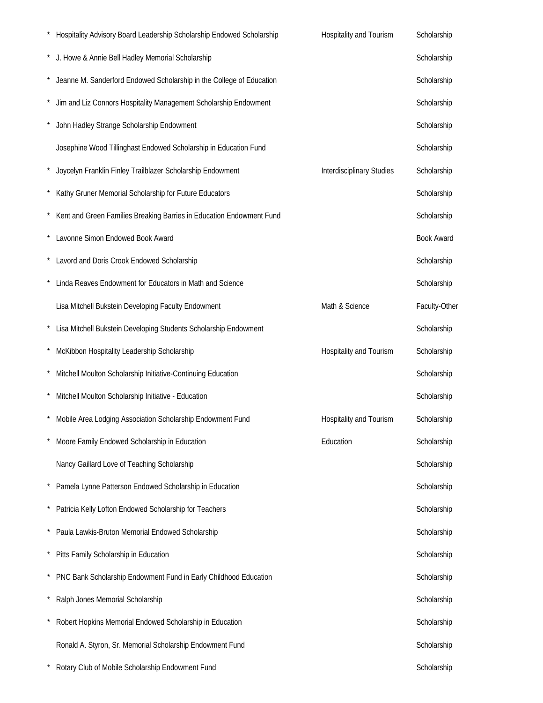| Hospitality Advisory Board Leadership Scholarship Endowed Scholarship | Hospitality and Tourism   | Scholarship       |
|-----------------------------------------------------------------------|---------------------------|-------------------|
| J. Howe & Annie Bell Hadley Memorial Scholarship                      |                           | Scholarship       |
| Jeanne M. Sanderford Endowed Scholarship in the College of Education  |                           | Scholarship       |
| Jim and Liz Connors Hospitality Management Scholarship Endowment      |                           | Scholarship       |
| John Hadley Strange Scholarship Endowment                             |                           | Scholarship       |
| Josephine Wood Tillinghast Endowed Scholarship in Education Fund      |                           | Scholarship       |
| Joycelyn Franklin Finley Trailblazer Scholarship Endowment            | Interdisciplinary Studies | Scholarship       |
| Kathy Gruner Memorial Scholarship for Future Educators                |                           | Scholarship       |
| Kent and Green Families Breaking Barries in Education Endowment Fund  |                           | Scholarship       |
| Lavonne Simon Endowed Book Award                                      |                           | <b>Book Award</b> |
| * Lavord and Doris Crook Endowed Scholarship                          |                           | Scholarship       |
| Linda Reaves Endowment for Educators in Math and Science              |                           | Scholarship       |
| Lisa Mitchell Bukstein Developing Faculty Endowment                   | Math & Science            | Faculty-Other     |
| Lisa Mitchell Bukstein Developing Students Scholarship Endowment      |                           | Scholarship       |
| McKibbon Hospitality Leadership Scholarship                           | Hospitality and Tourism   | Scholarship       |
| Mitchell Moulton Scholarship Initiative-Continuing Education          |                           | Scholarship       |
| Mitchell Moulton Scholarship Initiative - Education                   |                           | Scholarship       |
| Mobile Area Lodging Association Scholarship Endowment Fund            | Hospitality and Tourism   | Scholarship       |
| Moore Family Endowed Scholarship in Education                         | Education                 | Scholarship       |
| Nancy Gaillard Love of Teaching Scholarship                           |                           | Scholarship       |
| Pamela Lynne Patterson Endowed Scholarship in Education               |                           | Scholarship       |
| Patricia Kelly Lofton Endowed Scholarship for Teachers                |                           | Scholarship       |
| Paula Lawkis-Bruton Memorial Endowed Scholarship                      |                           | Scholarship       |
| Pitts Family Scholarship in Education                                 |                           | Scholarship       |
| PNC Bank Scholarship Endowment Fund in Early Childhood Education      |                           | Scholarship       |
| Ralph Jones Memorial Scholarship                                      |                           | Scholarship       |
| Robert Hopkins Memorial Endowed Scholarship in Education              |                           | Scholarship       |
| Ronald A. Styron, Sr. Memorial Scholarship Endowment Fund             |                           | Scholarship       |
| Rotary Club of Mobile Scholarship Endowment Fund                      |                           | Scholarship       |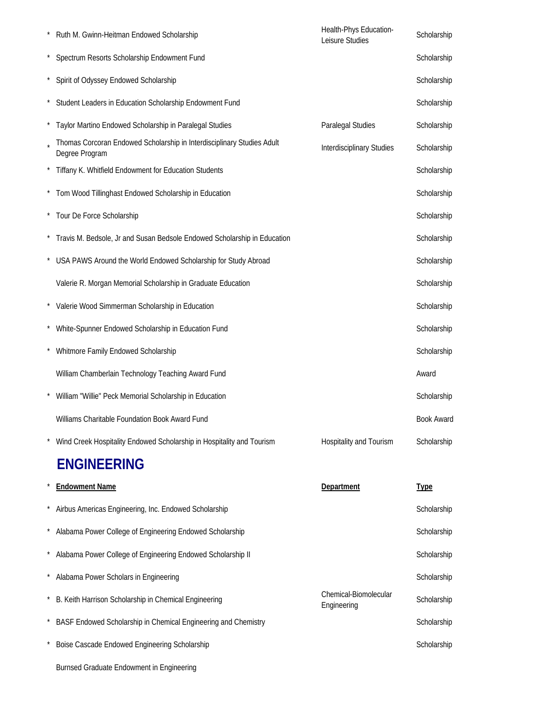|         | Ruth M. Gwinn-Heitman Endowed Scholarship                                                | Health-Phys Education-<br>Leisure Studies | Scholarship       |
|---------|------------------------------------------------------------------------------------------|-------------------------------------------|-------------------|
|         | Spectrum Resorts Scholarship Endowment Fund                                              |                                           | Scholarship       |
| $\star$ | Spirit of Odyssey Endowed Scholarship                                                    |                                           | Scholarship       |
|         | Student Leaders in Education Scholarship Endowment Fund                                  |                                           | Scholarship       |
|         | Taylor Martino Endowed Scholarship in Paralegal Studies                                  | Paralegal Studies                         | Scholarship       |
|         | Thomas Corcoran Endowed Scholarship in Interdisciplinary Studies Adult<br>Degree Program | <b>Interdisciplinary Studies</b>          | Scholarship       |
|         | Tiffany K. Whitfield Endowment for Education Students                                    |                                           | Scholarship       |
|         | * Tom Wood Tillinghast Endowed Scholarship in Education                                  |                                           | Scholarship       |
|         | * Tour De Force Scholarship                                                              |                                           | Scholarship       |
|         | * Travis M. Bedsole, Jr and Susan Bedsole Endowed Scholarship in Education               |                                           | Scholarship       |
|         | USA PAWS Around the World Endowed Scholarship for Study Abroad                           |                                           | Scholarship       |
|         | Valerie R. Morgan Memorial Scholarship in Graduate Education                             |                                           | Scholarship       |
|         | * Valerie Wood Simmerman Scholarship in Education                                        |                                           | Scholarship       |
|         | White-Spunner Endowed Scholarship in Education Fund                                      |                                           | Scholarship       |
|         | Whitmore Family Endowed Scholarship                                                      |                                           | Scholarship       |
|         | William Chamberlain Technology Teaching Award Fund                                       |                                           | Award             |
|         | William "Willie" Peck Memorial Scholarship in Education                                  |                                           | Scholarship       |
|         | Williams Charitable Foundation Book Award Fund                                           |                                           | <b>Book Award</b> |
|         | Wind Creek Hospitality Endowed Scholarship in Hospitality and Tourism                    | Hospitality and Tourism                   | Scholarship       |
|         | <b>ENGINEERING</b>                                                                       |                                           |                   |
|         | <b>Endowment Name</b>                                                                    | Department                                | <b>Type</b>       |
|         | Airbus Americas Engineering, Inc. Endowed Scholarship                                    |                                           | Scholarship       |
|         | Alabama Power College of Engineering Endowed Scholarship                                 |                                           | Scholarship       |
|         | Alabama Power College of Engineering Endowed Scholarship II                              |                                           | Scholarship       |
|         | Alabama Power Scholars in Engineering                                                    |                                           | Scholarship       |
|         | B. Keith Harrison Scholarship in Chemical Engineering                                    | Chemical-Biomolecular<br>Engineering      | Scholarship       |
|         | BASF Endowed Scholarship in Chemical Engineering and Chemistry                           |                                           | Scholarship       |
|         | Boise Cascade Endowed Engineering Scholarship                                            |                                           | Scholarship       |
|         | Burnsed Graduate Endowment in Engineering                                                |                                           |                   |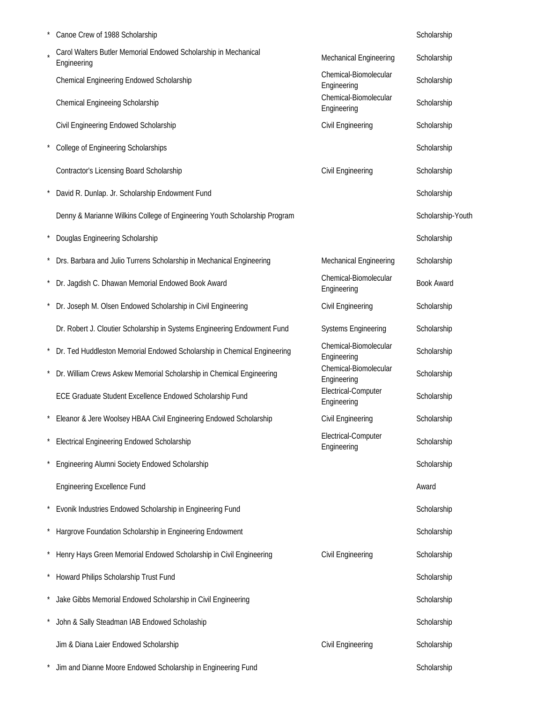|          | Canoe Crew of 1988 Scholarship                                                 |                                      | Scholarship       |
|----------|--------------------------------------------------------------------------------|--------------------------------------|-------------------|
|          | Carol Walters Butler Memorial Endowed Scholarship in Mechanical<br>Engineering | Mechanical Engineering               | Scholarship       |
|          | Chemical Engineering Endowed Scholarship                                       | Chemical-Biomolecular<br>Engineering | Scholarship       |
|          | Chemical Engineeing Scholarship                                                | Chemical-Biomolecular<br>Engineering | Scholarship       |
|          | Civil Engineering Endowed Scholarship                                          | Civil Engineering                    | Scholarship       |
|          | College of Engineering Scholarships                                            |                                      | Scholarship       |
|          | Contractor's Licensing Board Scholarship                                       | Civil Engineering                    | Scholarship       |
|          | David R. Dunlap. Jr. Scholarship Endowment Fund                                |                                      | Scholarship       |
|          | Denny & Marianne Wilkins College of Engineering Youth Scholarship Program      |                                      | Scholarship-Youth |
| $^\star$ | Douglas Engineering Scholarship                                                |                                      | Scholarship       |
|          | Drs. Barbara and Julio Turrens Scholarship in Mechanical Engineering           | Mechanical Engineering               | Scholarship       |
| $\star$  | Dr. Jagdish C. Dhawan Memorial Endowed Book Award                              | Chemical-Biomolecular<br>Engineering | <b>Book Award</b> |
|          | Dr. Joseph M. Olsen Endowed Scholarship in Civil Engineering                   | Civil Engineering                    | Scholarship       |
|          | Dr. Robert J. Cloutier Scholarship in Systems Engineering Endowment Fund       | <b>Systems Engineering</b>           | Scholarship       |
|          | * Dr. Ted Huddleston Memorial Endowed Scholarship in Chemical Engineering      | Chemical-Biomolecular<br>Engineering | Scholarship       |
|          | Dr. William Crews Askew Memorial Scholarship in Chemical Engineering           | Chemical-Biomolecular<br>Engineering | Scholarship       |
|          | ECE Graduate Student Excellence Endowed Scholarship Fund                       | Electrical-Computer<br>Engineering   | Scholarship       |
|          | Eleanor & Jere Woolsey HBAA Civil Engineering Endowed Scholarship              | Civil Engineering                    | Scholarship       |
|          | <b>Electrical Engineering Endowed Scholarship</b>                              | Electrical-Computer<br>Engineering   | Scholarship       |
|          | Engineering Alumni Society Endowed Scholarship                                 |                                      | Scholarship       |
|          | <b>Engineering Excellence Fund</b>                                             |                                      | Award             |
|          | Evonik Industries Endowed Scholarship in Engineering Fund                      |                                      | Scholarship       |
|          | Hargrove Foundation Scholarship in Engineering Endowment                       |                                      | Scholarship       |
| $\star$  | Henry Hays Green Memorial Endowed Scholarship in Civil Engineering             | Civil Engineering                    | Scholarship       |
| $\star$  | Howard Philips Scholarship Trust Fund                                          |                                      | Scholarship       |
|          | Jake Gibbs Memorial Endowed Scholarship in Civil Engineering                   |                                      | Scholarship       |
|          | John & Sally Steadman IAB Endowed Scholaship                                   |                                      | Scholarship       |
|          | Jim & Diana Laier Endowed Scholarship                                          | Civil Engineering                    | Scholarship       |
|          | Jim and Dianne Moore Endowed Scholarship in Engineering Fund                   |                                      | Scholarship       |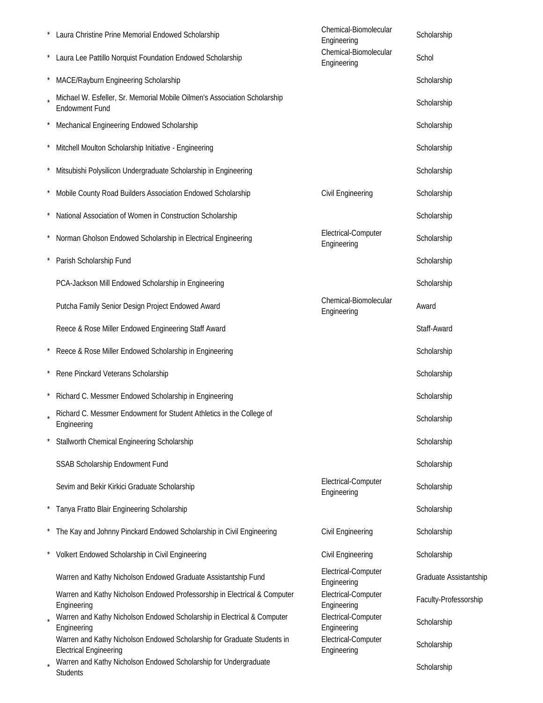| * Laura Christine Prine Memorial Endowed Scholarship                                                     | Chemical-Biomolecular<br>Engineering | Scholarship            |
|----------------------------------------------------------------------------------------------------------|--------------------------------------|------------------------|
| Laura Lee Pattillo Norquist Foundation Endowed Scholarship                                               | Chemical-Biomolecular<br>Engineering | Schol                  |
| MACE/Rayburn Engineering Scholarship                                                                     |                                      | Scholarship            |
| Michael W. Esfeller, Sr. Memorial Mobile Oilmen's Association Scholarship<br><b>Endowment Fund</b>       |                                      | Scholarship            |
| Mechanical Engineering Endowed Scholarship                                                               |                                      | Scholarship            |
| Mitchell Moulton Scholarship Initiative - Engineering                                                    |                                      | Scholarship            |
| Mitsubishi Polysilicon Undergraduate Scholarship in Engineering                                          |                                      | Scholarship            |
| Mobile County Road Builders Association Endowed Scholarship                                              | Civil Engineering                    | Scholarship            |
| National Association of Women in Construction Scholarship                                                |                                      | Scholarship            |
| Norman Gholson Endowed Scholarship in Electrical Engineering                                             | Electrical-Computer<br>Engineering   | Scholarship            |
| Parish Scholarship Fund                                                                                  |                                      | Scholarship            |
| PCA-Jackson Mill Endowed Scholarship in Engineering                                                      |                                      | Scholarship            |
| Putcha Family Senior Design Project Endowed Award                                                        | Chemical-Biomolecular<br>Engineering | Award                  |
| Reece & Rose Miller Endowed Engineering Staff Award                                                      |                                      | Staff-Award            |
| Reece & Rose Miller Endowed Scholarship in Engineering                                                   |                                      | Scholarship            |
| Rene Pinckard Veterans Scholarship                                                                       |                                      | Scholarship            |
| Richard C. Messmer Endowed Scholarship in Engineering                                                    |                                      | Scholarship            |
| Richard C. Messmer Endowment for Student Athletics in the College of<br>Engineering                      |                                      | Scholarship            |
| Stallworth Chemical Engineering Scholarship                                                              |                                      | Scholarship            |
| SSAB Scholarship Endowment Fund                                                                          |                                      | Scholarship            |
| Sevim and Bekir Kirkici Graduate Scholarship                                                             | Electrical-Computer<br>Engineering   | Scholarship            |
| Tanya Fratto Blair Engineering Scholarship                                                               |                                      | Scholarship            |
| The Kay and Johnny Pinckard Endowed Scholarship in Civil Engineering                                     | Civil Engineering                    | Scholarship            |
| Volkert Endowed Scholarship in Civil Engineering                                                         | Civil Engineering                    | Scholarship            |
| Warren and Kathy Nicholson Endowed Graduate Assistantship Fund                                           | Electrical-Computer<br>Engineering   | Graduate Assistantship |
| Warren and Kathy Nicholson Endowed Professorship in Electrical & Computer<br>Engineering                 | Electrical-Computer<br>Engineering   | Faculty-Professorship  |
| Warren and Kathy Nicholson Endowed Scholarship in Electrical & Computer<br>Engineering                   | Electrical-Computer<br>Engineering   | Scholarship            |
| Warren and Kathy Nicholson Endowed Scholarship for Graduate Students in<br><b>Electrical Engineering</b> | Electrical-Computer<br>Engineering   | Scholarship            |
| Warren and Kathy Nicholson Endowed Scholarship for Undergraduate<br><b>Students</b>                      |                                      | Scholarship            |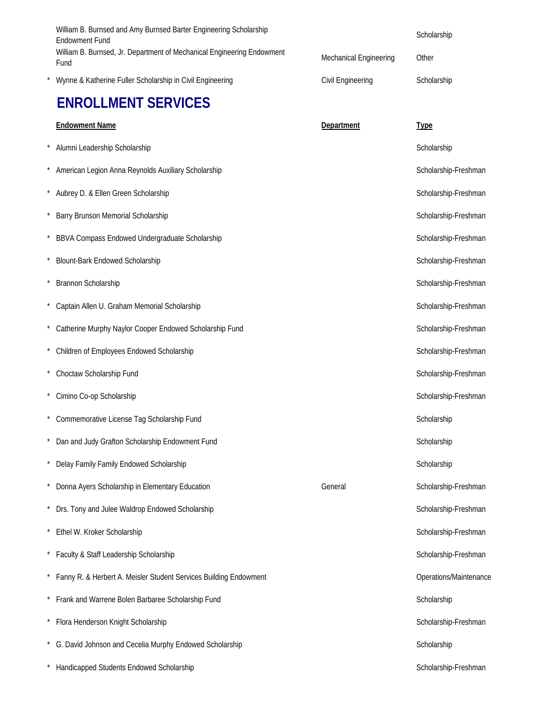|          | William B. Burnsed and Amy Burnsed Barter Engineering Scholarship<br><b>Endowment Fund</b> |                               | Scholarship            |
|----------|--------------------------------------------------------------------------------------------|-------------------------------|------------------------|
|          | William B. Burnsed, Jr. Department of Mechanical Engineering Endowment<br>Fund             | <b>Mechanical Engineering</b> | Other                  |
|          | Wynne & Katherine Fuller Scholarship in Civil Engineering                                  | Civil Engineering             | Scholarship            |
|          | <b>ENROLLMENT SERVICES</b>                                                                 |                               |                        |
|          | <b>Endowment Name</b>                                                                      | Department                    | <b>Type</b>            |
|          | Alumni Leadership Scholarship                                                              |                               | Scholarship            |
| $\star$  | American Legion Anna Reynolds Auxiliary Scholarship                                        |                               | Scholarship-Freshman   |
| $\star$  | Aubrey D. & Ellen Green Scholarship                                                        |                               | Scholarship-Freshman   |
| $\star$  | Barry Brunson Memorial Scholarship                                                         |                               | Scholarship-Freshman   |
|          | BBVA Compass Endowed Undergraduate Scholarship                                             |                               | Scholarship-Freshman   |
|          | <b>Blount-Bark Endowed Scholarship</b>                                                     |                               | Scholarship-Freshman   |
| $\star$  | Brannon Scholarship                                                                        |                               | Scholarship-Freshman   |
|          | Captain Allen U. Graham Memorial Scholarship                                               |                               | Scholarship-Freshman   |
|          | * Catherine Murphy Naylor Cooper Endowed Scholarship Fund                                  |                               | Scholarship-Freshman   |
| $\star$  | Children of Employees Endowed Scholarship                                                  |                               | Scholarship-Freshman   |
|          | Choctaw Scholarship Fund                                                                   |                               | Scholarship-Freshman   |
|          | Cimino Co-op Scholarship                                                                   |                               | Scholarship-Freshman   |
|          | Commemorative License Tag Scholarship Fund                                                 |                               | Scholarship            |
|          | Dan and Judy Grafton Scholarship Endowment Fund                                            |                               | Scholarship            |
| $^\star$ | Delay Family Family Endowed Scholarship                                                    |                               | Scholarship            |
|          | Donna Ayers Scholarship in Elementary Education                                            | General                       | Scholarship-Freshman   |
|          | Drs. Tony and Julee Waldrop Endowed Scholarship                                            |                               | Scholarship-Freshman   |
|          | Ethel W. Kroker Scholarship                                                                |                               | Scholarship-Freshman   |
|          | * Faculty & Staff Leadership Scholarship                                                   |                               | Scholarship-Freshman   |
|          | * Fanny R. & Herbert A. Meisler Student Services Building Endowment                        |                               | Operations/Maintenance |
|          | Frank and Warrene Bolen Barbaree Scholarship Fund                                          |                               | Scholarship            |
|          | Flora Henderson Knight Scholarship                                                         |                               | Scholarship-Freshman   |
|          | * G. David Johnson and Cecelia Murphy Endowed Scholarship                                  |                               | Scholarship            |
|          | Handicapped Students Endowed Scholarship                                                   |                               | Scholarship-Freshman   |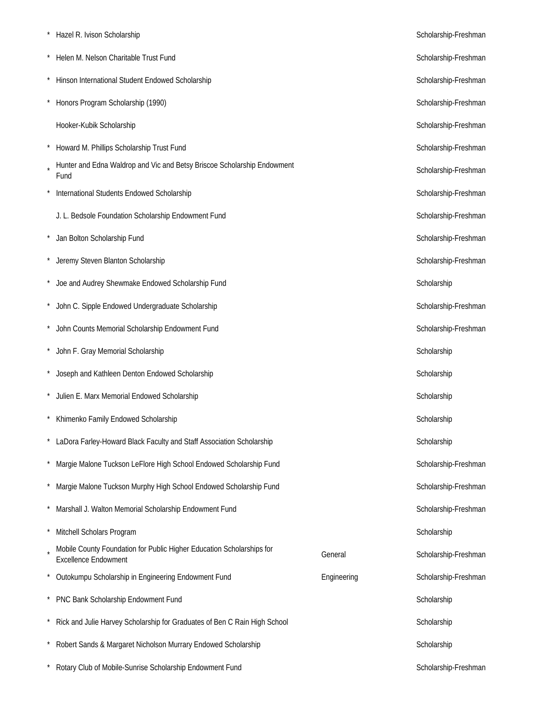| Hazel R. Ivison Scholarship                                                                          | Scholarship-Freshman |                      |
|------------------------------------------------------------------------------------------------------|----------------------|----------------------|
| Helen M. Nelson Charitable Trust Fund                                                                | Scholarship-Freshman |                      |
| Hinson International Student Endowed Scholarship                                                     |                      | Scholarship-Freshman |
| Honors Program Scholarship (1990)                                                                    |                      | Scholarship-Freshman |
| Hooker-Kubik Scholarship                                                                             |                      | Scholarship-Freshman |
| Howard M. Phillips Scholarship Trust Fund                                                            |                      | Scholarship-Freshman |
| Hunter and Edna Waldrop and Vic and Betsy Briscoe Scholarship Endowment<br>Fund                      |                      | Scholarship-Freshman |
| International Students Endowed Scholarship                                                           |                      | Scholarship-Freshman |
| J. L. Bedsole Foundation Scholarship Endowment Fund                                                  |                      | Scholarship-Freshman |
| Jan Bolton Scholarship Fund                                                                          |                      | Scholarship-Freshman |
| Jeremy Steven Blanton Scholarship                                                                    |                      | Scholarship-Freshman |
| Joe and Audrey Shewmake Endowed Scholarship Fund                                                     |                      | Scholarship          |
| John C. Sipple Endowed Undergraduate Scholarship                                                     |                      | Scholarship-Freshman |
| John Counts Memorial Scholarship Endowment Fund                                                      |                      | Scholarship-Freshman |
| John F. Gray Memorial Scholarship                                                                    | Scholarship          |                      |
| Joseph and Kathleen Denton Endowed Scholarship                                                       | Scholarship          |                      |
| Julien E. Marx Memorial Endowed Scholarship                                                          | Scholarship          |                      |
| Khimenko Family Endowed Scholarship                                                                  | Scholarship          |                      |
| LaDora Farley-Howard Black Faculty and Staff Association Scholarship                                 | Scholarship          |                      |
| Margie Malone Tuckson LeFlore High School Endowed Scholarship Fund                                   |                      | Scholarship-Freshman |
| Margie Malone Tuckson Murphy High School Endowed Scholarship Fund                                    |                      | Scholarship-Freshman |
| Marshall J. Walton Memorial Scholarship Endowment Fund                                               |                      | Scholarship-Freshman |
| Mitchell Scholars Program                                                                            |                      | Scholarship          |
| Mobile County Foundation for Public Higher Education Scholarships for<br><b>Excellence Endowment</b> | General              | Scholarship-Freshman |
| Outokumpu Scholarship in Engineering Endowment Fund                                                  | Engineering          | Scholarship-Freshman |
| PNC Bank Scholarship Endowment Fund                                                                  |                      | Scholarship          |
| Rick and Julie Harvey Scholarship for Graduates of Ben C Rain High School                            | Scholarship          |                      |
| Robert Sands & Margaret Nicholson Murrary Endowed Scholarship                                        | Scholarship          |                      |
| Rotary Club of Mobile-Sunrise Scholarship Endowment Fund                                             |                      | Scholarship-Freshman |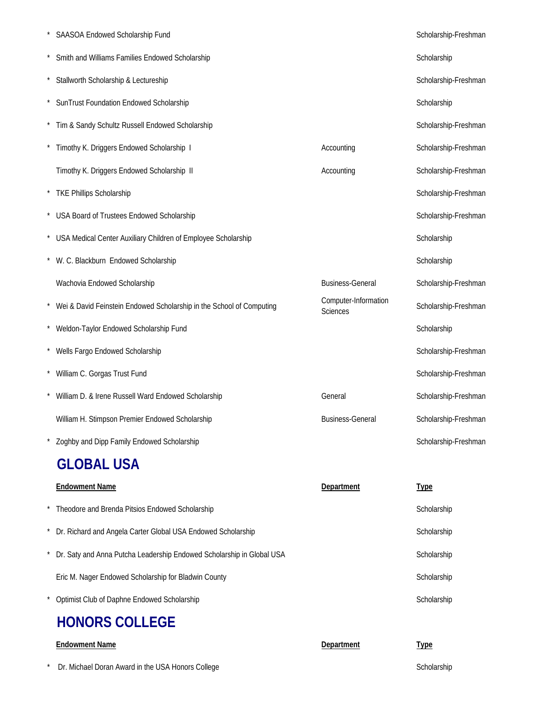| SAASOA Endowed Scholarship Fund                                        |                                         | Scholarship-Freshman |
|------------------------------------------------------------------------|-----------------------------------------|----------------------|
| Smith and Williams Families Endowed Scholarship                        |                                         | Scholarship          |
| Stallworth Scholarship & Lectureship                                   |                                         | Scholarship-Freshman |
| SunTrust Foundation Endowed Scholarship                                |                                         | Scholarship          |
| Tim & Sandy Schultz Russell Endowed Scholarship                        |                                         | Scholarship-Freshman |
| Timothy K. Driggers Endowed Scholarship I                              | Accounting                              | Scholarship-Freshman |
| Timothy K. Driggers Endowed Scholarship II                             | Accounting                              | Scholarship-Freshman |
| * TKE Phillips Scholarship                                             |                                         | Scholarship-Freshman |
| * USA Board of Trustees Endowed Scholarship                            |                                         | Scholarship-Freshman |
| * USA Medical Center Auxiliary Children of Employee Scholarship        |                                         | Scholarship          |
| * W. C. Blackburn Endowed Scholarship                                  |                                         | Scholarship          |
| Wachovia Endowed Scholarship                                           | <b>Business-General</b>                 | Scholarship-Freshman |
| * Wei & David Feinstein Endowed Scholarship in the School of Computing | Computer-Information<br><b>Sciences</b> | Scholarship-Freshman |
| * Weldon-Taylor Endowed Scholarship Fund                               |                                         | Scholarship          |
| * Wells Fargo Endowed Scholarship                                      |                                         | Scholarship-Freshman |
| * William C. Gorgas Trust Fund                                         |                                         | Scholarship-Freshman |
| William D. & Irene Russell Ward Endowed Scholarship                    | General                                 | Scholarship-Freshman |
| William H. Stimpson Premier Endowed Scholarship                        | <b>Business-General</b>                 | Scholarship-Freshman |
| Zoghby and Dipp Family Endowed Scholarship                             |                                         | Scholarship-Freshman |

### **GLOBAL USA**

| <b>Endowment Name</b>                                                 | Department | <b>Type</b> |
|-----------------------------------------------------------------------|------------|-------------|
| Theodore and Brenda Pitsios Endowed Scholarship                       |            | Scholarship |
| Dr. Richard and Angela Carter Global USA Endowed Scholarship          |            | Scholarship |
| Dr. Saty and Anna Putcha Leadership Endowed Scholarship in Global USA |            | Scholarship |
| Eric M. Nager Endowed Scholarship for Bladwin County                  |            | Scholarship |
| Optimist Club of Daphne Endowed Scholarship                           |            | Scholarship |
| <b>HONORS COLLEGE</b>                                                 |            |             |

| <b>Endowment Name</b> | Department | ype |
|-----------------------|------------|-----|
|                       |            |     |

\* Dr. Michael Doran Award in the USA Honors College Scholarship Scholarship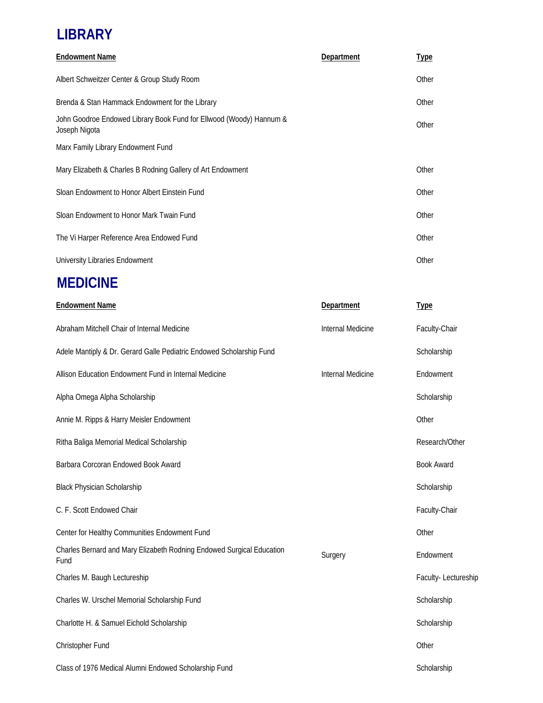### **LIBRARY**

| <b>Endowment Name</b>                                                                | Department | <b>Type</b> |
|--------------------------------------------------------------------------------------|------------|-------------|
| Albert Schweitzer Center & Group Study Room                                          |            | Other       |
| Brenda & Stan Hammack Endowment for the Library                                      |            | Other       |
| John Goodroe Endowed Library Book Fund for Ellwood (Woody) Hannum &<br>Joseph Nigota |            | Other       |
| Marx Family Library Endowment Fund                                                   |            |             |
| Mary Elizabeth & Charles B Rodning Gallery of Art Endowment                          |            | Other       |
| Sloan Endowment to Honor Albert Einstein Fund                                        |            | Other       |
| Sloan Endowment to Honor Mark Twain Fund                                             |            | Other       |
| The Vi Harper Reference Area Endowed Fund                                            |            | Other       |
| University Libraries Endowment                                                       |            | Other       |

### **MEDICINE**

| <b>Endowment Name</b>                                                         | Department        | <b>Type</b>         |
|-------------------------------------------------------------------------------|-------------------|---------------------|
| Abraham Mitchell Chair of Internal Medicine                                   | Internal Medicine | Faculty-Chair       |
| Adele Mantiply & Dr. Gerard Galle Pediatric Endowed Scholarship Fund          |                   | Scholarship         |
| Allison Education Endowment Fund in Internal Medicine                         | Internal Medicine | Endowment           |
| Alpha Omega Alpha Scholarship                                                 |                   | Scholarship         |
| Annie M. Ripps & Harry Meisler Endowment                                      |                   | Other               |
| Ritha Baliga Memorial Medical Scholarship                                     |                   | Research/Other      |
| Barbara Corcoran Endowed Book Award                                           |                   | <b>Book Award</b>   |
| <b>Black Physician Scholarship</b>                                            |                   | Scholarship         |
| C. F. Scott Endowed Chair                                                     |                   | Faculty-Chair       |
| Center for Healthy Communities Endowment Fund                                 |                   | Other               |
| Charles Bernard and Mary Elizabeth Rodning Endowed Surgical Education<br>Fund | Surgery           | Endowment           |
| Charles M. Baugh Lectureship                                                  |                   | Faculty-Lectureship |
| Charles W. Urschel Memorial Scholarship Fund                                  |                   | Scholarship         |
| Charlotte H. & Samuel Eichold Scholarship                                     |                   | Scholarship         |
| Christopher Fund                                                              |                   | Other               |
| Class of 1976 Medical Alumni Endowed Scholarship Fund                         |                   | Scholarship         |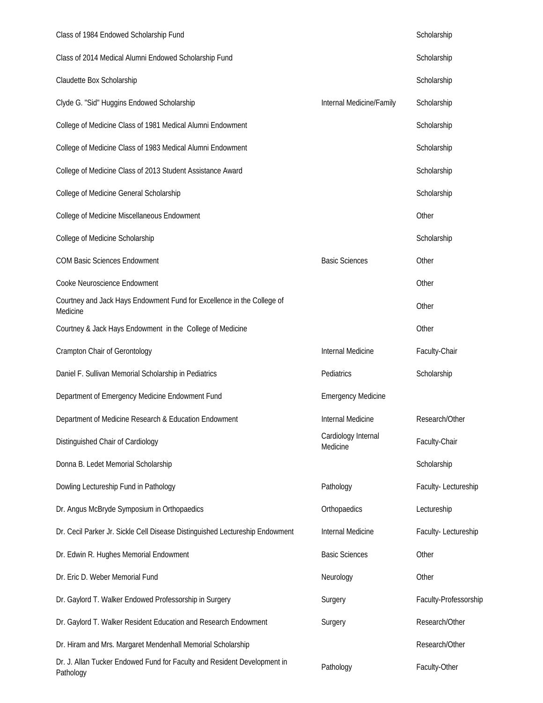| Class of 1984 Endowed Scholarship Fund                                                |                                 | Scholarship           |
|---------------------------------------------------------------------------------------|---------------------------------|-----------------------|
| Class of 2014 Medical Alumni Endowed Scholarship Fund                                 |                                 | Scholarship           |
| Claudette Box Scholarship                                                             |                                 | Scholarship           |
| Clyde G. "Sid" Huggins Endowed Scholarship                                            | Internal Medicine/Family        | Scholarship           |
| College of Medicine Class of 1981 Medical Alumni Endowment                            |                                 | Scholarship           |
| College of Medicine Class of 1983 Medical Alumni Endowment                            |                                 | Scholarship           |
| College of Medicine Class of 2013 Student Assistance Award                            |                                 | Scholarship           |
| College of Medicine General Scholarship                                               |                                 | Scholarship           |
| College of Medicine Miscellaneous Endowment                                           |                                 | Other                 |
| College of Medicine Scholarship                                                       |                                 | Scholarship           |
| <b>COM Basic Sciences Endowment</b>                                                   | <b>Basic Sciences</b>           | Other                 |
| Cooke Neuroscience Endowment                                                          |                                 | Other                 |
| Courtney and Jack Hays Endowment Fund for Excellence in the College of<br>Medicine    |                                 | Other                 |
| Courtney & Jack Hays Endowment in the College of Medicine                             |                                 | Other                 |
| Crampton Chair of Gerontology                                                         | Internal Medicine               | Faculty-Chair         |
| Daniel F. Sullivan Memorial Scholarship in Pediatrics                                 | Pediatrics                      | Scholarship           |
| Department of Emergency Medicine Endowment Fund                                       | <b>Emergency Medicine</b>       |                       |
| Department of Medicine Research & Education Endowment                                 | Internal Medicine               | Research/Other        |
| Distinguished Chair of Cardiology                                                     | Cardiology Internal<br>Medicine | Faculty-Chair         |
| Donna B. Ledet Memorial Scholarship                                                   |                                 | Scholarship           |
| Dowling Lectureship Fund in Pathology                                                 | Pathology                       | Faculty-Lectureship   |
| Dr. Angus McBryde Symposium in Orthopaedics                                           | Orthopaedics                    | Lectureship           |
| Dr. Cecil Parker Jr. Sickle Cell Disease Distinguished Lectureship Endowment          | Internal Medicine               | Faculty-Lectureship   |
| Dr. Edwin R. Hughes Memorial Endowment                                                | <b>Basic Sciences</b>           | Other                 |
| Dr. Eric D. Weber Memorial Fund                                                       | Neurology                       | Other                 |
| Dr. Gaylord T. Walker Endowed Professorship in Surgery                                | Surgery                         | Faculty-Professorship |
| Dr. Gaylord T. Walker Resident Education and Research Endowment                       | Surgery                         | Research/Other        |
| Dr. Hiram and Mrs. Margaret Mendenhall Memorial Scholarship                           |                                 | Research/Other        |
| Dr. J. Allan Tucker Endowed Fund for Faculty and Resident Development in<br>Pathology | Pathology                       | Faculty-Other         |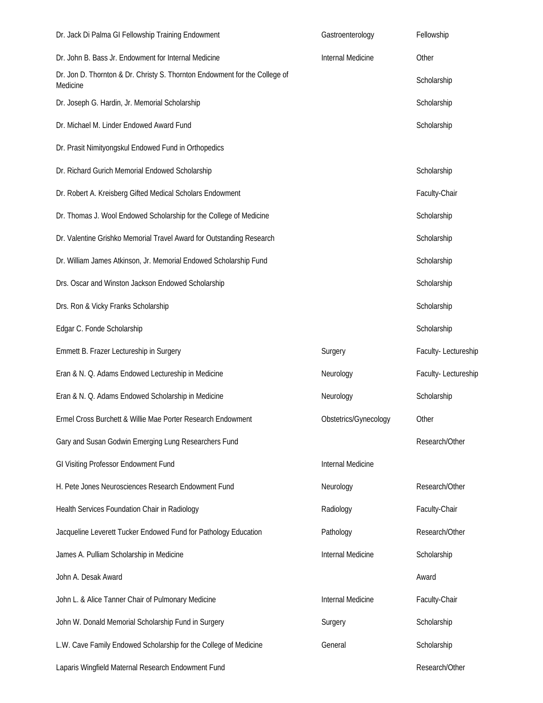| Dr. Jack Di Palma GI Fellowship Training Endowment                                     | Gastroenterology         | Fellowship          |
|----------------------------------------------------------------------------------------|--------------------------|---------------------|
| Dr. John B. Bass Jr. Endowment for Internal Medicine                                   | Internal Medicine        | Other               |
| Dr. Jon D. Thornton & Dr. Christy S. Thornton Endowment for the College of<br>Medicine |                          | Scholarship         |
| Dr. Joseph G. Hardin, Jr. Memorial Scholarship                                         |                          | Scholarship         |
| Dr. Michael M. Linder Endowed Award Fund                                               |                          | Scholarship         |
| Dr. Prasit Nimityongskul Endowed Fund in Orthopedics                                   |                          |                     |
| Dr. Richard Gurich Memorial Endowed Scholarship                                        |                          | Scholarship         |
| Dr. Robert A. Kreisberg Gifted Medical Scholars Endowment                              |                          | Faculty-Chair       |
| Dr. Thomas J. Wool Endowed Scholarship for the College of Medicine                     |                          | Scholarship         |
| Dr. Valentine Grishko Memorial Travel Award for Outstanding Research                   |                          | Scholarship         |
| Dr. William James Atkinson, Jr. Memorial Endowed Scholarship Fund                      |                          | Scholarship         |
| Drs. Oscar and Winston Jackson Endowed Scholarship                                     |                          | Scholarship         |
| Drs. Ron & Vicky Franks Scholarship                                                    |                          | Scholarship         |
| Edgar C. Fonde Scholarship                                                             |                          | Scholarship         |
| Emmett B. Frazer Lectureship in Surgery                                                | Surgery                  | Faculty-Lectureship |
| Eran & N. Q. Adams Endowed Lectureship in Medicine                                     | Neurology                | Faculty-Lectureship |
| Eran & N. Q. Adams Endowed Scholarship in Medicine                                     | Neurology                | Scholarship         |
| Ermel Cross Burchett & Willie Mae Porter Research Endowment                            | Obstetrics/Gynecology    | Other               |
| Gary and Susan Godwin Emerging Lung Researchers Fund                                   |                          | Research/Other      |
| GI Visiting Professor Endowment Fund                                                   | Internal Medicine        |                     |
| H. Pete Jones Neurosciences Research Endowment Fund                                    | Neurology                | Research/Other      |
| Health Services Foundation Chair in Radiology                                          | Radiology                | Faculty-Chair       |
| Jacqueline Leverett Tucker Endowed Fund for Pathology Education                        | Pathology                | Research/Other      |
| James A. Pulliam Scholarship in Medicine                                               | <b>Internal Medicine</b> | Scholarship         |
| John A. Desak Award                                                                    |                          | Award               |
| John L. & Alice Tanner Chair of Pulmonary Medicine                                     | Internal Medicine        | Faculty-Chair       |
| John W. Donald Memorial Scholarship Fund in Surgery                                    | Surgery                  | Scholarship         |
| L.W. Cave Family Endowed Scholarship for the College of Medicine                       | General                  | Scholarship         |
| Laparis Wingfield Maternal Research Endowment Fund                                     |                          | Research/Other      |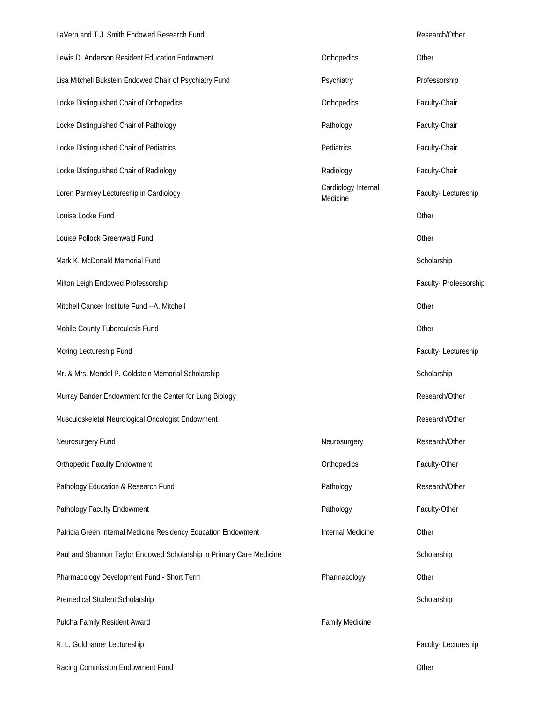#### LaVern and T.J. Smith Endowed Research Fund **Research** And Research/Other

| Lewis D. Anderson Resident Education Endowment                       | Orthopedics                     | Other                  |
|----------------------------------------------------------------------|---------------------------------|------------------------|
| Lisa Mitchell Bukstein Endowed Chair of Psychiatry Fund              | Psychiatry                      | Professorship          |
| Locke Distinguished Chair of Orthopedics                             | Orthopedics                     | Faculty-Chair          |
| Locke Distinguished Chair of Pathology                               | Pathology                       | Faculty-Chair          |
| Locke Distinguished Chair of Pediatrics                              | Pediatrics                      | Faculty-Chair          |
| Locke Distinguished Chair of Radiology                               | Radiology                       | Faculty-Chair          |
| Loren Parmley Lectureship in Cardiology                              | Cardiology Internal<br>Medicine | Faculty-Lectureship    |
| Louise Locke Fund                                                    |                                 | Other                  |
| Louise Pollock Greenwald Fund                                        |                                 | Other                  |
| Mark K. McDonald Memorial Fund                                       |                                 | Scholarship            |
| Milton Leigh Endowed Professorship                                   |                                 | Faculty- Professorship |
| Mitchell Cancer Institute Fund -- A. Mitchell                        |                                 | Other                  |
| Mobile County Tuberculosis Fund                                      |                                 | Other                  |
| Moring Lectureship Fund                                              |                                 | Faculty-Lectureship    |
| Mr. & Mrs. Mendel P. Goldstein Memorial Scholarship                  |                                 | Scholarship            |
| Murray Bander Endowment for the Center for Lung Biology              |                                 | Research/Other         |
| Musculoskeletal Neurological Oncologist Endowment                    |                                 | Research/Other         |
| Neurosurgery Fund                                                    | Neurosurgery                    | Research/Other         |
| <b>Orthopedic Faculty Endowment</b>                                  | Orthopedics                     | Faculty-Other          |
| Pathology Education & Research Fund                                  | Pathology                       | Research/Other         |
| Pathology Faculty Endowment                                          | Pathology                       | Faculty-Other          |
| Patricia Green Internal Medicine Residency Education Endowment       | Internal Medicine               | Other                  |
| Paul and Shannon Taylor Endowed Scholarship in Primary Care Medicine |                                 | Scholarship            |
| Pharmacology Development Fund - Short Term                           | Pharmacology                    | Other                  |
| Premedical Student Scholarship                                       |                                 | Scholarship            |
| Putcha Family Resident Award                                         | Family Medicine                 |                        |
| R. L. Goldhamer Lectureship                                          |                                 | Faculty-Lectureship    |
| Racing Commission Endowment Fund                                     |                                 | Other                  |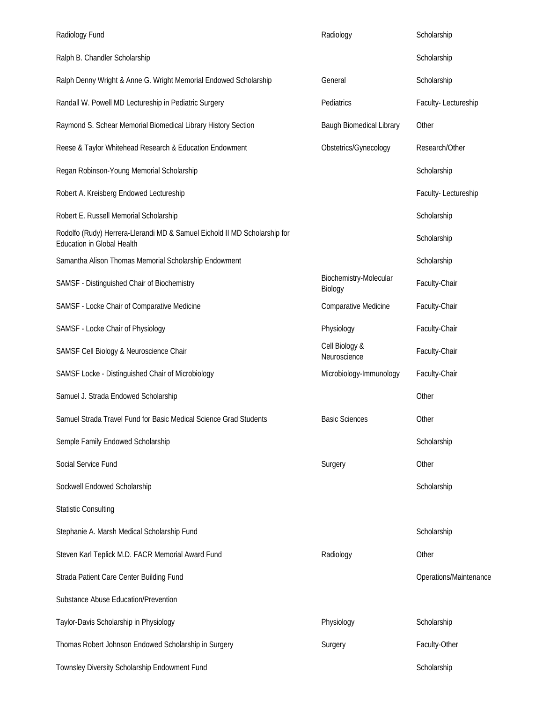| Radiology Fund                                                                                                 | Radiology                         | Scholarship            |
|----------------------------------------------------------------------------------------------------------------|-----------------------------------|------------------------|
| Ralph B. Chandler Scholarship                                                                                  |                                   | Scholarship            |
| Ralph Denny Wright & Anne G. Wright Memorial Endowed Scholarship                                               | General                           | Scholarship            |
| Randall W. Powell MD Lectureship in Pediatric Surgery                                                          | Pediatrics                        | Faculty-Lectureship    |
| Raymond S. Schear Memorial Biomedical Library History Section                                                  | Baugh Biomedical Library          | Other                  |
| Reese & Taylor Whitehead Research & Education Endowment                                                        | Obstetrics/Gynecology             | Research/Other         |
| Regan Robinson-Young Memorial Scholarship                                                                      |                                   | Scholarship            |
| Robert A. Kreisberg Endowed Lectureship                                                                        |                                   | Faculty-Lectureship    |
| Robert E. Russell Memorial Scholarship                                                                         |                                   | Scholarship            |
| Rodolfo (Rudy) Herrera-Llerandi MD & Samuel Eichold II MD Scholarship for<br><b>Education in Global Health</b> |                                   | Scholarship            |
| Samantha Alison Thomas Memorial Scholarship Endowment                                                          |                                   | Scholarship            |
| SAMSF - Distinguished Chair of Biochemistry                                                                    | Biochemistry-Molecular<br>Biology | Faculty-Chair          |
| SAMSF - Locke Chair of Comparative Medicine                                                                    | Comparative Medicine              | Faculty-Chair          |
| SAMSF - Locke Chair of Physiology                                                                              | Physiology                        | Faculty-Chair          |
| SAMSF Cell Biology & Neuroscience Chair                                                                        | Cell Biology &<br>Neuroscience    | Faculty-Chair          |
| SAMSF Locke - Distinguished Chair of Microbiology                                                              | Microbiology-Immunology           | Faculty-Chair          |
| Samuel J. Strada Endowed Scholarship                                                                           |                                   | Other                  |
| Samuel Strada Travel Fund for Basic Medical Science Grad Students                                              | <b>Basic Sciences</b>             | Other                  |
| Semple Family Endowed Scholarship                                                                              |                                   | Scholarship            |
| Social Service Fund                                                                                            | Surgery                           | Other                  |
| Sockwell Endowed Scholarship                                                                                   |                                   | Scholarship            |
| <b>Statistic Consulting</b>                                                                                    |                                   |                        |
| Stephanie A. Marsh Medical Scholarship Fund                                                                    |                                   | Scholarship            |
| Steven Karl Teplick M.D. FACR Memorial Award Fund                                                              | Radiology                         | Other                  |
| Strada Patient Care Center Building Fund                                                                       |                                   | Operations/Maintenance |
| Substance Abuse Education/Prevention                                                                           |                                   |                        |
| Taylor-Davis Scholarship in Physiology                                                                         | Physiology                        | Scholarship            |
| Thomas Robert Johnson Endowed Scholarship in Surgery                                                           | Surgery                           | Faculty-Other          |
| Townsley Diversity Scholarship Endowment Fund                                                                  |                                   | Scholarship            |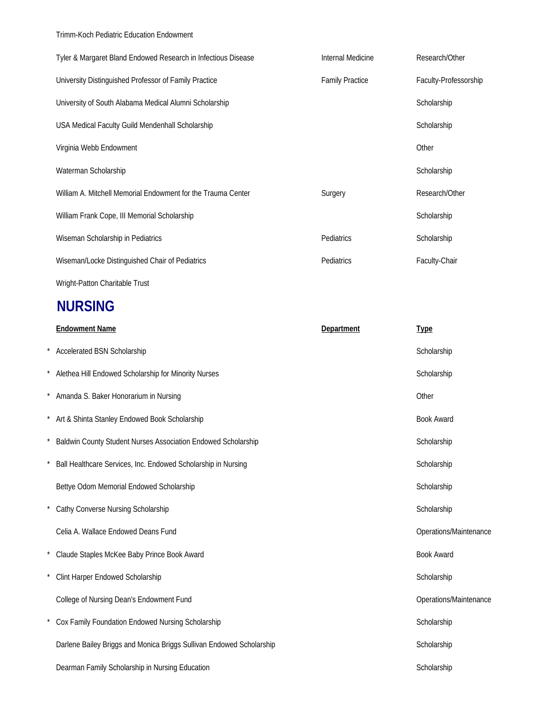Trimm-Koch Pediatric Education Endowment

| Tyler & Margaret Bland Endowed Research in Infectious Disease | Internal Medicine      | Research/Other        |
|---------------------------------------------------------------|------------------------|-----------------------|
| University Distinguished Professor of Family Practice         | <b>Family Practice</b> | Faculty-Professorship |
| University of South Alabama Medical Alumni Scholarship        |                        | Scholarship           |
| USA Medical Faculty Guild Mendenhall Scholarship              |                        | Scholarship           |
| Virginia Webb Endowment                                       |                        | Other                 |
| Waterman Scholarship                                          |                        | Scholarship           |
| William A. Mitchell Memorial Endowment for the Trauma Center  | Surgery                | Research/Other        |
| William Frank Cope, III Memorial Scholarship                  |                        | Scholarship           |
| Wiseman Scholarship in Pediatrics                             | Pediatrics             | Scholarship           |
| Wiseman/Locke Distinguished Chair of Pediatrics               | Pediatrics             | Faculty-Chair         |
| Wright-Patton Charitable Trust                                |                        |                       |

### **NURSING**

|          | <b>Endowment Name</b>                                                | Department | <b>Type</b>            |
|----------|----------------------------------------------------------------------|------------|------------------------|
|          | <b>Accelerated BSN Scholarship</b>                                   |            | Scholarship            |
|          | Alethea Hill Endowed Scholarship for Minority Nurses                 |            | Scholarship            |
| $\star$  | Amanda S. Baker Honorarium in Nursing                                |            | Other                  |
|          | Art & Shinta Stanley Endowed Book Scholarship                        |            | <b>Book Award</b>      |
|          | Baldwin County Student Nurses Association Endowed Scholarship        |            | Scholarship            |
|          | Ball Healthcare Services, Inc. Endowed Scholarship in Nursing        |            | Scholarship            |
|          | Bettye Odom Memorial Endowed Scholarship                             |            | Scholarship            |
| $^\star$ | Cathy Converse Nursing Scholarship                                   |            | Scholarship            |
|          | Celia A. Wallace Endowed Deans Fund                                  |            | Operations/Maintenance |
|          | * Claude Staples McKee Baby Prince Book Award                        |            | <b>Book Award</b>      |
|          | Clint Harper Endowed Scholarship                                     |            | Scholarship            |
|          | College of Nursing Dean's Endowment Fund                             |            | Operations/Maintenance |
|          | Cox Family Foundation Endowed Nursing Scholarship                    |            | Scholarship            |
|          | Darlene Bailey Briggs and Monica Briggs Sullivan Endowed Scholarship |            | Scholarship            |
|          | Dearman Family Scholarship in Nursing Education                      |            | Scholarship            |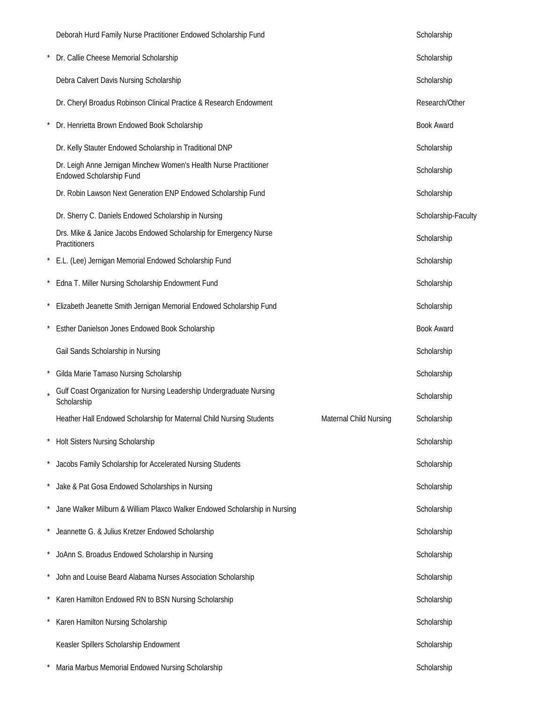| Deborah Hurd Family Nurse Practitioner Endowed Scholarship Fund                                | Scholarship         |
|------------------------------------------------------------------------------------------------|---------------------|
| Dr. Callie Cheese Memorial Scholarship                                                         | Scholarship         |
| Debra Calvert Davis Nursing Scholarship                                                        | Scholarship         |
| Dr. Cheryl Broadus Robinson Clinical Practice & Research Endowment                             | Research/Other      |
| Dr. Henrietta Brown Endowed Book Scholarship                                                   | <b>Book Award</b>   |
| Dr. Kelly Stauter Endowed Scholarship in Traditional DNP                                       | Scholarship         |
| Dr. Leigh Anne Jernigan Minchew Women's Health Nurse Practitioner<br>Endowed Scholarship Fund  | Scholarship         |
| Dr. Robin Lawson Next Generation ENP Endowed Scholarship Fund                                  | Scholarship         |
| Dr. Sherry C. Daniels Endowed Scholarship in Nursing                                           | Scholarship-Faculty |
| Drs. Mike & Janice Jacobs Endowed Scholarship for Emergency Nurse<br>Practitioners             | Scholarship         |
| E.L. (Lee) Jernigan Memorial Endowed Scholarship Fund                                          | Scholarship         |
| Edna T. Miller Nursing Scholarship Endowment Fund                                              | Scholarship         |
| Elizabeth Jeanette Smith Jernigan Memorial Endowed Scholarship Fund                            | Scholarship         |
| Esther Danielson Jones Endowed Book Scholarship                                                | <b>Book Award</b>   |
| Gail Sands Scholarship in Nursing                                                              | Scholarship         |
| Gilda Marie Tamaso Nursing Scholarship                                                         | Scholarship         |
| Gulf Coast Organization for Nursing Leadership Undergraduate Nursing<br>Scholarship            | Scholarship         |
| Heather Hall Endowed Scholarship for Maternal Child Nursing Students<br>Maternal Child Nursing | Scholarship         |
| Holt Sisters Nursing Scholarship                                                               | Scholarship         |
| Jacobs Family Scholarship for Accelerated Nursing Students                                     | Scholarship         |
| Jake & Pat Gosa Endowed Scholarships in Nursing                                                | Scholarship         |
| Jane Walker Milburn & William Plaxco Walker Endowed Scholarship in Nursing                     | Scholarship         |
| Jeannette G. & Julius Kretzer Endowed Scholarship                                              | Scholarship         |
| JoAnn S. Broadus Endowed Scholarship in Nursing                                                | Scholarship         |
| John and Louise Beard Alabama Nurses Association Scholarship                                   | Scholarship         |
| Karen Hamilton Endowed RN to BSN Nursing Scholarship                                           | Scholarship         |
| Karen Hamilton Nursing Scholarship                                                             | Scholarship         |
| Keasler Spillers Scholarship Endowment                                                         | Scholarship         |
| Maria Marbus Memorial Endowed Nursing Scholarship                                              | Scholarship         |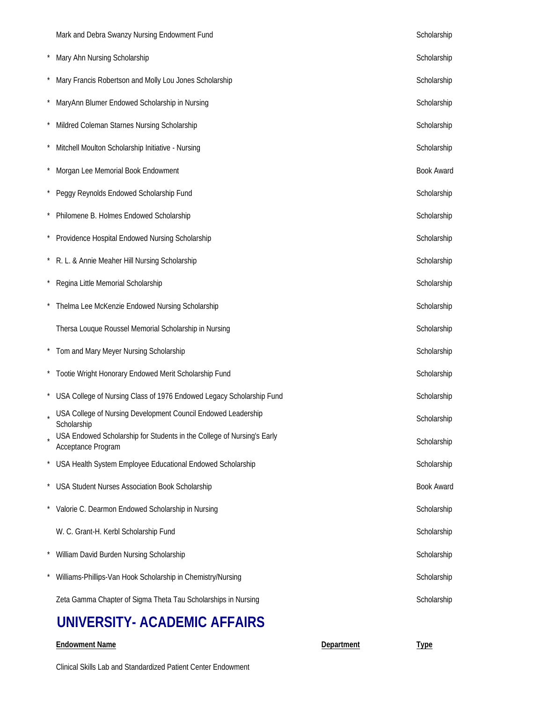|         | Mark and Debra Swanzy Nursing Endowment Fund                                                 | Scholarship       |
|---------|----------------------------------------------------------------------------------------------|-------------------|
|         | Mary Ahn Nursing Scholarship                                                                 | Scholarship       |
|         | Mary Francis Robertson and Molly Lou Jones Scholarship                                       | Scholarship       |
|         | MaryAnn Blumer Endowed Scholarship in Nursing                                                | Scholarship       |
|         | Mildred Coleman Starnes Nursing Scholarship                                                  | Scholarship       |
|         | Mitchell Moulton Scholarship Initiative - Nursing                                            | Scholarship       |
|         | Morgan Lee Memorial Book Endowment                                                           | <b>Book Award</b> |
| $\star$ | Peggy Reynolds Endowed Scholarship Fund                                                      | Scholarship       |
|         | Philomene B. Holmes Endowed Scholarship                                                      | Scholarship       |
|         | Providence Hospital Endowed Nursing Scholarship                                              | Scholarship       |
| $\star$ | R. L. & Annie Meaher Hill Nursing Scholarship                                                | Scholarship       |
|         | Regina Little Memorial Scholarship                                                           | Scholarship       |
|         | Thelma Lee McKenzie Endowed Nursing Scholarship                                              | Scholarship       |
|         | Thersa Louque Roussel Memorial Scholarship in Nursing                                        | Scholarship       |
|         | * Tom and Mary Meyer Nursing Scholarship                                                     | Scholarship       |
|         | * Tootie Wright Honorary Endowed Merit Scholarship Fund                                      | Scholarship       |
|         | USA College of Nursing Class of 1976 Endowed Legacy Scholarship Fund                         | Scholarship       |
|         | USA College of Nursing Development Council Endowed Leadership<br>Scholarship                 | Scholarship       |
|         | USA Endowed Scholarship for Students in the College of Nursing's Early<br>Acceptance Program | Scholarship       |
|         | USA Health System Employee Educational Endowed Scholarship                                   | Scholarship       |
|         | USA Student Nurses Association Book Scholarship                                              | <b>Book Award</b> |
|         | Valorie C. Dearmon Endowed Scholarship in Nursing                                            | Scholarship       |
|         | W. C. Grant-H. Kerbl Scholarship Fund                                                        | Scholarship       |
|         | William David Burden Nursing Scholarship                                                     | Scholarship       |
|         | Williams-Phillips-Van Hook Scholarship in Chemistry/Nursing                                  | Scholarship       |
|         | Zeta Gamma Chapter of Sigma Theta Tau Scholarships in Nursing                                | Scholarship       |

### **UNIVERSITY- ACADEMIC AFFAIRS**

#### **Endowment Name Department Type**

Clinical Skills Lab and Standardized Patient Center Endowment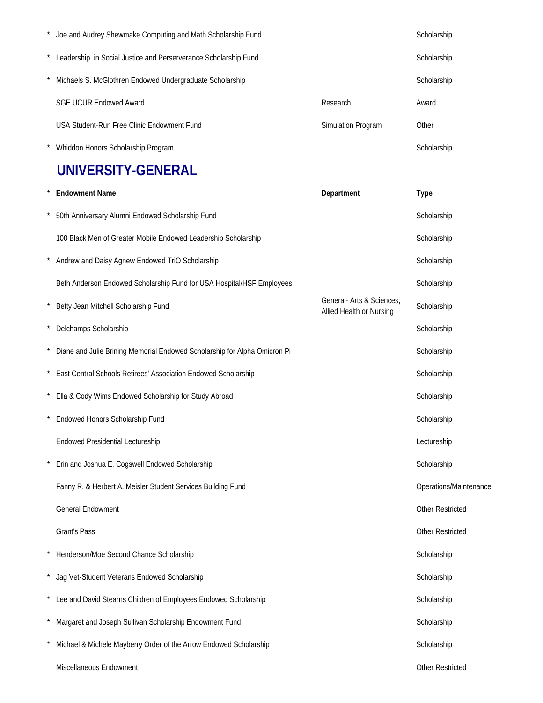| Joe and Audrey Shewmake Computing and Math Scholarship Fund     |                    | Scholarship |
|-----------------------------------------------------------------|--------------------|-------------|
| Leadership in Social Justice and Perserverance Scholarship Fund |                    | Scholarship |
| Michaels S. McGlothren Endowed Undergraduate Scholarship        |                    | Scholarship |
| <b>SGE UCUR Endowed Award</b>                                   | Research           | Award       |
| USA Student-Run Free Clinic Endowment Fund                      | Simulation Program | Other       |
| Whiddon Honors Scholarship Program                              |                    | Scholarship |

### **UNIVERSITY-GENERAL**

|            | <b>Endowment Name</b>                                                     | Department                                            | <b>Type</b>            |
|------------|---------------------------------------------------------------------------|-------------------------------------------------------|------------------------|
|            | 50th Anniversary Alumni Endowed Scholarship Fund                          |                                                       | Scholarship            |
|            | 100 Black Men of Greater Mobile Endowed Leadership Scholarship            |                                                       | Scholarship            |
|            | Andrew and Daisy Agnew Endowed TriO Scholarship                           |                                                       | Scholarship            |
|            | Beth Anderson Endowed Scholarship Fund for USA Hospital/HSF Employees     |                                                       | Scholarship            |
| $\star$    | Betty Jean Mitchell Scholarship Fund                                      | General- Arts & Sciences,<br>Allied Health or Nursing | Scholarship            |
| $\star$    | Delchamps Scholarship                                                     |                                                       | Scholarship            |
|            | Diane and Julie Brining Memorial Endowed Scholarship for Alpha Omicron Pi |                                                       | Scholarship            |
|            | East Central Schools Retirees' Association Endowed Scholarship            |                                                       | Scholarship            |
| $\star$    | Ella & Cody Wims Endowed Scholarship for Study Abroad                     |                                                       | Scholarship            |
|            | Endowed Honors Scholarship Fund                                           |                                                       | Scholarship            |
|            | <b>Endowed Presidential Lectureship</b>                                   |                                                       | Lectureship            |
|            | Erin and Joshua E. Cogswell Endowed Scholarship                           |                                                       | Scholarship            |
|            | Fanny R. & Herbert A. Meisler Student Services Building Fund              |                                                       | Operations/Maintenance |
|            | <b>General Endowment</b>                                                  |                                                       | Other Restricted       |
|            | Grant's Pass                                                              |                                                       | Other Restricted       |
|            | Henderson/Moe Second Chance Scholarship                                   |                                                       | Scholarship            |
|            | Jag Vet-Student Veterans Endowed Scholarship                              |                                                       | Scholarship            |
|            | Lee and David Stearns Children of Employees Endowed Scholarship           |                                                       | Scholarship            |
| $^{\star}$ | Margaret and Joseph Sullivan Scholarship Endowment Fund                   |                                                       | Scholarship            |
|            | Michael & Michele Mayberry Order of the Arrow Endowed Scholarship         |                                                       | Scholarship            |
|            | Miscellaneous Endowment                                                   |                                                       | Other Restricted       |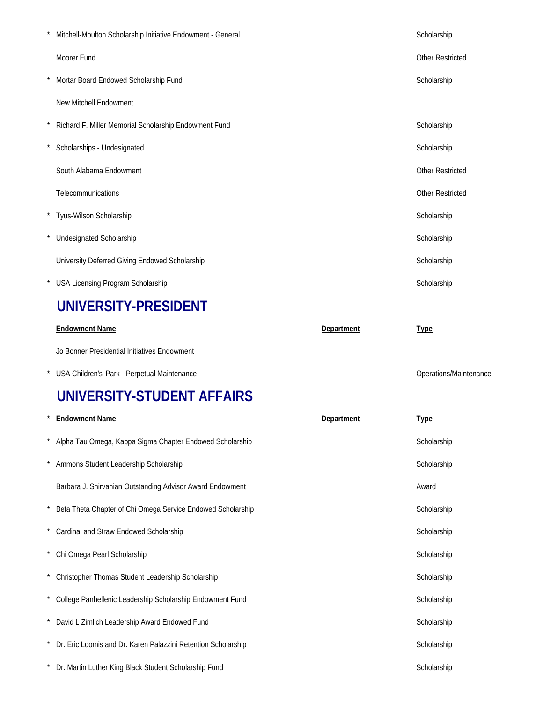| Mitchell-Moulton Scholarship Initiative Endowment - General   |            | Scholarship             |
|---------------------------------------------------------------|------------|-------------------------|
| Moorer Fund                                                   |            | <b>Other Restricted</b> |
| Mortar Board Endowed Scholarship Fund                         |            | Scholarship             |
| New Mitchell Endowment                                        |            |                         |
| Richard F. Miller Memorial Scholarship Endowment Fund         |            | Scholarship             |
| Scholarships - Undesignated                                   |            | Scholarship             |
| South Alabama Endowment                                       |            | <b>Other Restricted</b> |
| Telecommunications                                            |            | Other Restricted        |
| Tyus-Wilson Scholarship                                       |            | Scholarship             |
| <b>Undesignated Scholarship</b>                               |            | Scholarship             |
| University Deferred Giving Endowed Scholarship                |            | Scholarship             |
| <b>USA Licensing Program Scholarship</b>                      |            | Scholarship             |
| UNIVERSITY-PRESIDENT                                          |            |                         |
| <b>Endowment Name</b>                                         | Department | <b>Type</b>             |
| Jo Bonner Presidential Initiatives Endowment                  |            |                         |
| USA Children's' Park - Perpetual Maintenance                  |            | Operations/Maintenance  |
| UNIVERSITY-STUDENT AFFAIRS                                    |            |                         |
| <b>Endowment Name</b>                                         | Department | <b>Type</b>             |
| Alpha Tau Omega, Kappa Sigma Chapter Endowed Scholarship      |            | Scholarship             |
| Ammons Student Leadership Scholarship                         |            | Scholarship             |
| Barbara J. Shirvanian Outstanding Advisor Award Endowment     |            | Award                   |
| Beta Theta Chapter of Chi Omega Service Endowed Scholarship   |            | Scholarship             |
| Cardinal and Straw Endowed Scholarship                        |            | Scholarship             |
| Chi Omega Pearl Scholarship                                   |            | Scholarship             |
| Christopher Thomas Student Leadership Scholarship             |            | Scholarship             |
| College Panhellenic Leadership Scholarship Endowment Fund     |            | Scholarship             |
| David L Zimlich Leadership Award Endowed Fund                 |            | Scholarship             |
| Dr. Eric Loomis and Dr. Karen Palazzini Retention Scholarship |            | Scholarship             |
| Dr. Martin Luther King Black Student Scholarship Fund         |            | Scholarship             |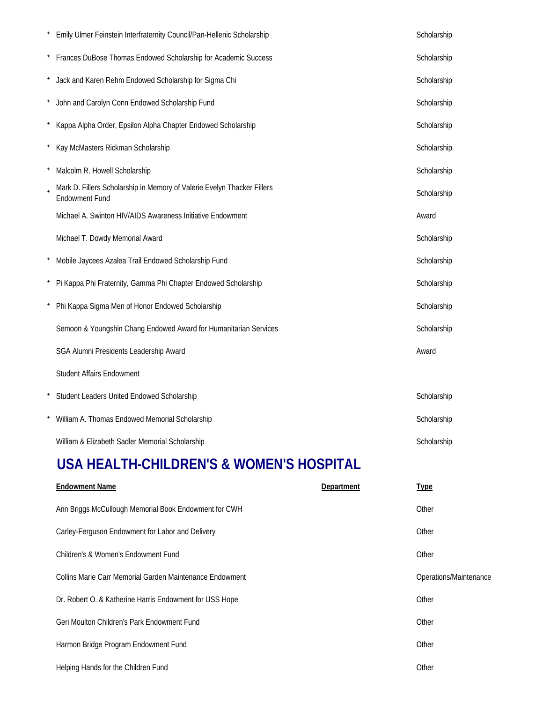| Emily Ulmer Feinstein Interfraternity Council/Pan-Hellenic Scholarship                           | Scholarship |
|--------------------------------------------------------------------------------------------------|-------------|
| Frances DuBose Thomas Endowed Scholarship for Academic Success                                   | Scholarship |
| Jack and Karen Rehm Endowed Scholarship for Sigma Chi                                            | Scholarship |
| John and Carolyn Conn Endowed Scholarship Fund                                                   | Scholarship |
| Kappa Alpha Order, Epsilon Alpha Chapter Endowed Scholarship                                     | Scholarship |
| Kay McMasters Rickman Scholarship                                                                | Scholarship |
| Malcolm R. Howell Scholarship                                                                    | Scholarship |
| Mark D. Fillers Scholarship in Memory of Valerie Evelyn Thacker Fillers<br><b>Endowment Fund</b> | Scholarship |
| Michael A. Swinton HIV/AIDS Awareness Initiative Endowment                                       | Award       |
| Michael T. Dowdy Memorial Award                                                                  | Scholarship |
| Mobile Jaycees Azalea Trail Endowed Scholarship Fund                                             | Scholarship |
| Pi Kappa Phi Fraternity, Gamma Phi Chapter Endowed Scholarship                                   | Scholarship |
| Phi Kappa Sigma Men of Honor Endowed Scholarship                                                 | Scholarship |
| Semoon & Youngshin Chang Endowed Award for Humanitarian Services                                 | Scholarship |
| SGA Alumni Presidents Leadership Award                                                           | Award       |
| <b>Student Affairs Endowment</b>                                                                 |             |
| Student Leaders United Endowed Scholarship                                                       | Scholarship |
| William A. Thomas Endowed Memorial Scholarship                                                   | Scholarship |
| William & Elizabeth Sadler Memorial Scholarship                                                  | Scholarship |

### **USA HEALTH-CHILDREN'S & WOMEN'S HOSPITAL**

| <b>Endowment Name</b>                                    | Department | <b>Type</b>            |
|----------------------------------------------------------|------------|------------------------|
| Ann Briggs McCullough Memorial Book Endowment for CWH    |            | Other                  |
| Carley-Ferguson Endowment for Labor and Delivery         |            | Other                  |
| Children's & Women's Endowment Fund                      |            | Other                  |
| Collins Marie Carr Memorial Garden Maintenance Endowment |            | Operations/Maintenance |
| Dr. Robert O. & Katherine Harris Endowment for USS Hope  |            | Other                  |
| Geri Moulton Children's Park Endowment Fund              |            | Other                  |
| Harmon Bridge Program Endowment Fund                     |            | Other                  |
| Helping Hands for the Children Fund                      |            | Other                  |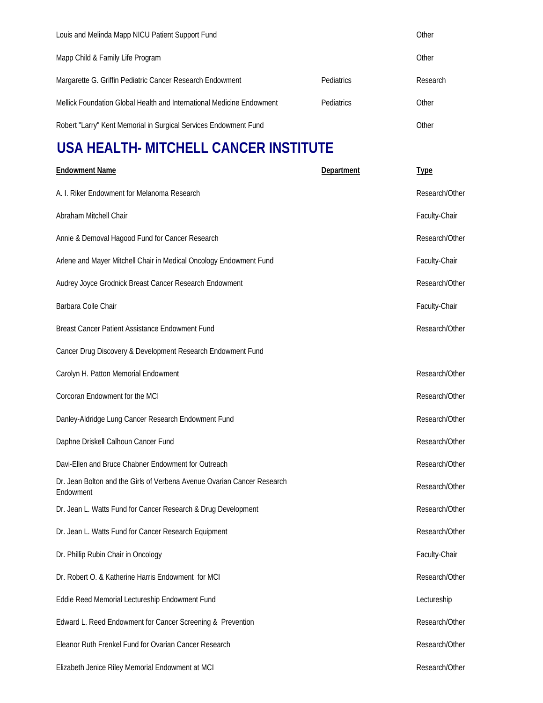| Louis and Melinda Mapp NICU Patient Support Fund                      |                   | Other    |
|-----------------------------------------------------------------------|-------------------|----------|
| Mapp Child & Family Life Program                                      |                   | Other    |
| Margarette G. Griffin Pediatric Cancer Research Endowment             | Pediatrics        | Research |
| Mellick Foundation Global Health and International Medicine Endowment | <b>Pediatrics</b> | Other    |
| Robert "Larry" Kent Memorial in Surgical Services Endowment Fund      |                   | Other    |

# **USA HEALTH- MITCHELL CANCER INSTITUTE**

| <b>Endowment Name</b>                                                                | Department | <b>Type</b>    |
|--------------------------------------------------------------------------------------|------------|----------------|
| A. I. Riker Endowment for Melanoma Research                                          |            | Research/Other |
| Abraham Mitchell Chair                                                               |            | Faculty-Chair  |
| Annie & Demoval Hagood Fund for Cancer Research                                      |            | Research/Other |
| Arlene and Mayer Mitchell Chair in Medical Oncology Endowment Fund                   |            | Faculty-Chair  |
| Audrey Joyce Grodnick Breast Cancer Research Endowment                               |            | Research/Other |
| Barbara Colle Chair                                                                  |            | Faculty-Chair  |
| Breast Cancer Patient Assistance Endowment Fund                                      |            | Research/Other |
| Cancer Drug Discovery & Development Research Endowment Fund                          |            |                |
| Carolyn H. Patton Memorial Endowment                                                 |            | Research/Other |
| Corcoran Endowment for the MCI                                                       |            | Research/Other |
| Danley-Aldridge Lung Cancer Research Endowment Fund                                  |            | Research/Other |
| Daphne Driskell Calhoun Cancer Fund                                                  |            | Research/Other |
| Davi-Ellen and Bruce Chabner Endowment for Outreach                                  |            | Research/Other |
| Dr. Jean Bolton and the Girls of Verbena Avenue Ovarian Cancer Research<br>Endowment |            | Research/Other |
| Dr. Jean L. Watts Fund for Cancer Research & Drug Development                        |            | Research/Other |
| Dr. Jean L. Watts Fund for Cancer Research Equipment                                 |            | Research/Other |
| Dr. Phillip Rubin Chair in Oncology                                                  |            | Faculty-Chair  |
| Dr. Robert O. & Katherine Harris Endowment for MCI                                   |            | Research/Other |
| Eddie Reed Memorial Lectureship Endowment Fund                                       |            | Lectureship    |
| Edward L. Reed Endowment for Cancer Screening & Prevention                           |            | Research/Other |
| Eleanor Ruth Frenkel Fund for Ovarian Cancer Research                                |            | Research/Other |
| Elizabeth Jenice Riley Memorial Endowment at MCI                                     |            | Research/Other |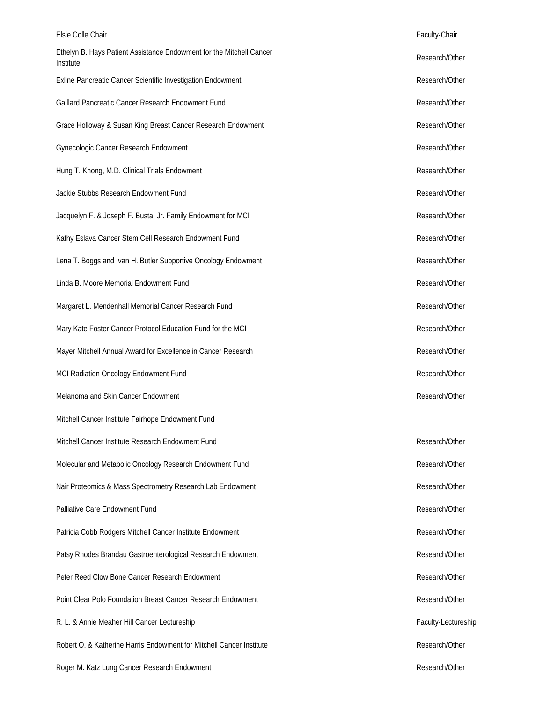| Elsie Colle Chair                                                                 | Faculty-Chair       |
|-----------------------------------------------------------------------------------|---------------------|
| Ethelyn B. Hays Patient Assistance Endowment for the Mitchell Cancer<br>Institute | Research/Other      |
| Exline Pancreatic Cancer Scientific Investigation Endowment                       | Research/Other      |
| Gaillard Pancreatic Cancer Research Endowment Fund                                | Research/Other      |
| Grace Holloway & Susan King Breast Cancer Research Endowment                      | Research/Other      |
| Gynecologic Cancer Research Endowment                                             | Research/Other      |
| Hung T. Khong, M.D. Clinical Trials Endowment                                     | Research/Other      |
| Jackie Stubbs Research Endowment Fund                                             | Research/Other      |
| Jacquelyn F. & Joseph F. Busta, Jr. Family Endowment for MCI                      | Research/Other      |
| Kathy Eslava Cancer Stem Cell Research Endowment Fund                             | Research/Other      |
| Lena T. Boggs and Ivan H. Butler Supportive Oncology Endowment                    | Research/Other      |
| Linda B. Moore Memorial Endowment Fund                                            | Research/Other      |
| Margaret L. Mendenhall Memorial Cancer Research Fund                              | Research/Other      |
| Mary Kate Foster Cancer Protocol Education Fund for the MCI                       | Research/Other      |
| Mayer Mitchell Annual Award for Excellence in Cancer Research                     | Research/Other      |
| MCI Radiation Oncology Endowment Fund                                             | Research/Other      |
| Melanoma and Skin Cancer Endowment                                                | Research/Other      |
| Mitchell Cancer Institute Fairhope Endowment Fund                                 |                     |
| Mitchell Cancer Institute Research Endowment Fund                                 | Research/Other      |
| Molecular and Metabolic Oncology Research Endowment Fund                          | Research/Other      |
| Nair Proteomics & Mass Spectrometry Research Lab Endowment                        | Research/Other      |
| Palliative Care Endowment Fund                                                    | Research/Other      |
| Patricia Cobb Rodgers Mitchell Cancer Institute Endowment                         | Research/Other      |
| Patsy Rhodes Brandau Gastroenterological Research Endowment                       | Research/Other      |
| Peter Reed Clow Bone Cancer Research Endowment                                    | Research/Other      |
| Point Clear Polo Foundation Breast Cancer Research Endowment                      | Research/Other      |
| R. L. & Annie Meaher Hill Cancer Lectureship                                      | Faculty-Lectureship |
| Robert O. & Katherine Harris Endowment for Mitchell Cancer Institute              | Research/Other      |
| Roger M. Katz Lung Cancer Research Endowment                                      | Research/Other      |